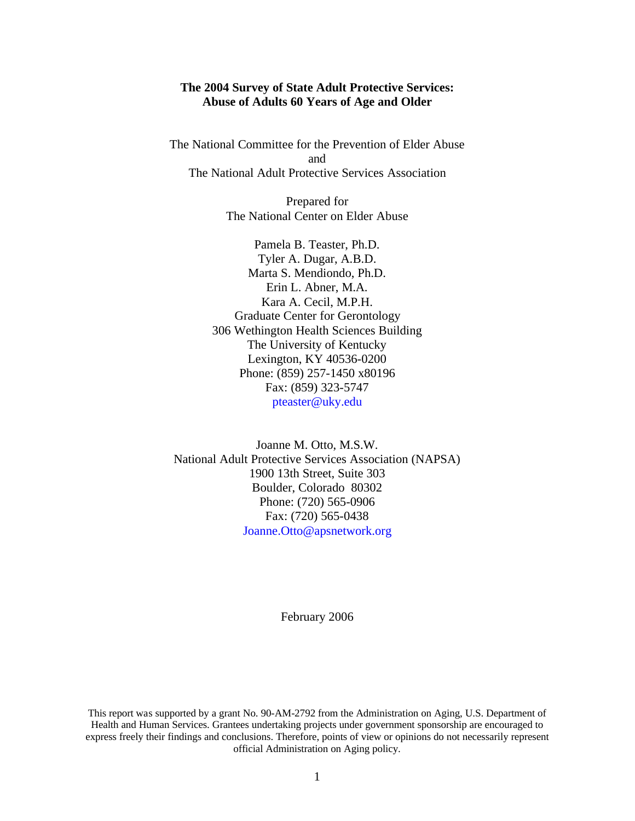## **The 2004 Survey of State Adult Protective Services: Abuse of Adults 60 Years of Age and Older**

The National Committee for the Prevention of Elder Abuse and The National Adult Protective Services Association

> Prepared for The National Center on Elder Abuse

Pamela B. Teaster, Ph.D. Tyler A. Dugar, A.B.D. Marta S. Mendiondo, Ph.D. Erin L. Abner, M.A. Kara A. Cecil, M.P.H. Graduate Center for Gerontology 306 Wethington Health Sciences Building The University of Kentucky Lexington, KY 40536-0200 Phone: (859) 257-1450 x80196 Fax: (859) 323-5747 pteaster@uky.edu

Joanne M. Otto, M.S.W. National Adult Protective Services Association (NAPSA) 1900 13th Street, Suite 303 Boulder, Colorado 80302 Phone: (720) 565-0906 Fax: (720) 565-0438 Joanne.Otto@apsnetwork.org

February 2006

This report was supported by a grant No. 90-AM-2792 from the Administration on Aging, U.S. Department of Health and Human Services. Grantees undertaking projects under government sponsorship are encouraged to express freely their findings and conclusions. Therefore, points of view or opinions do not necessarily represent official Administration on Aging policy.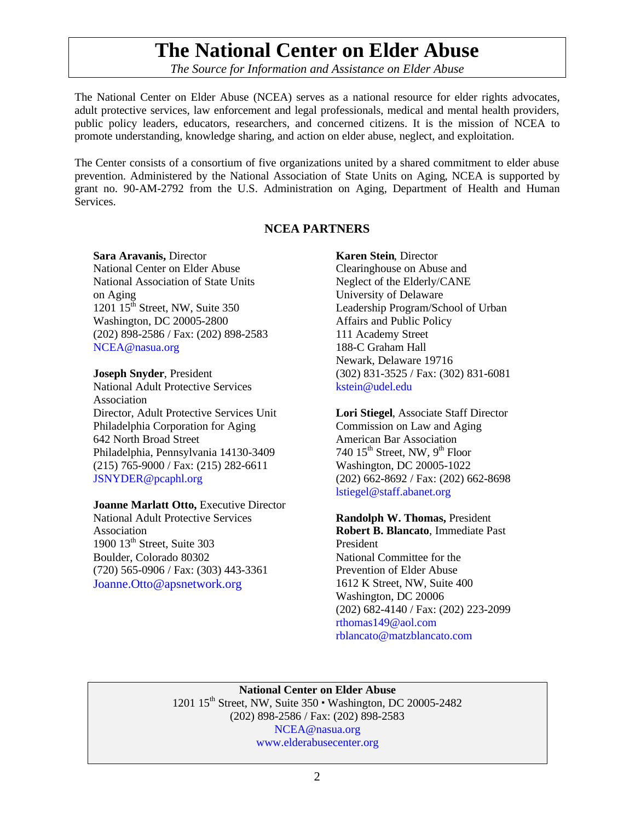# **The National Center on Elder Abuse**

*The Source for Information and Assistance on Elder Abuse*

The National Center on Elder Abuse (NCEA) serves as a national resource for elder rights advocates, adult protective services, law enforcement and legal professionals, medical and mental health providers, public policy leaders, educators, researchers, and concerned citizens. It is the mission of NCEA to promote understanding, knowledge sharing, and action on elder abuse, neglect, and exploitation.

The Center consists of a consortium of five organizations united by a shared commitment to elder abuse prevention. Administered by the National Association of State Units on Aging, NCEA is supported by grant no. 90-AM-2792 from the U.S. Administration on Aging, Department of Health and Human Services.

# **NCEA PARTNERS**

**Sara Aravanis,** Director National Center on Elder Abuse National Association of State Units on Aging  $1201 \overline{15}$ <sup>th</sup> Street, NW, Suite 350 Washington, DC 20005-2800 (202) 898-2586 / Fax: (202) 898-2583 NCEA@nasua.org

**Joseph Snyder**, President National Adult Protective Services Association Director, Adult Protective Services Unit Philadelphia Corporation for Aging 642 North Broad Street Philadelphia, Pennsylvania 14130-3409 (215) 765-9000 / Fax: (215) 282-6611 JSNYDER@pcaphl.org

**Joanne Marlatt Otto,** Executive Director National Adult Protective Services Association 1900 13<sup>th</sup> Street, Suite 303 Boulder, Colorado 80302 (720) 565-0906 / Fax: (303) 443-3361 Joanne.Otto@apsnetwork.org

**Karen Stein**, Director Clearinghouse on Abuse and Neglect of the Elderly/CANE University of Delaware Leadership Program/School of Urban Affairs and Public Policy 111 Academy Street 188-C Graham Hall Newark, Delaware 19716 (302) 831-3525 / Fax: (302) 831-6081 kstein@udel.edu

**Lori Stiegel**, Associate Staff Director Commission on Law and Aging American Bar Association 740  $15^{th}$  Street, NW,  $9^{th}$  Floor Washington, DC 20005-1022 (202) 662-8692 / Fax: (202) 662-8698 lstiegel@staff.abanet.org

**Randolph W. Thomas,** President **Robert B. Blancato**, Immediate Past President National Committee for the Prevention of Elder Abuse 1612 K Street, NW, Suite 400 Washington, DC 20006 (202) 682-4140 / Fax: (202) 223-2099 rthomas149@aol.com rblancato@matzblancato.com

# **National Center on Elder Abuse**

1201 15th Street, NW, Suite 350 Washington, DC 20005-2482 (202) 898-2586 / Fax: (202) 898-2583 NCEA@nasua.org www.elderabusecenter.org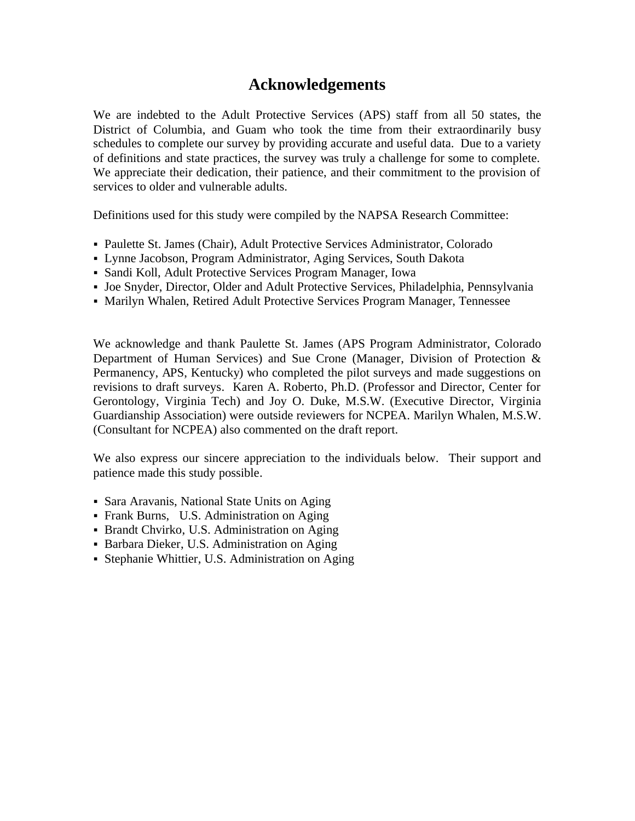# **Acknowledgements**

We are indebted to the Adult Protective Services (APS) staff from all 50 states, the District of Columbia, and Guam who took the time from their extraordinarily busy schedules to complete our survey by providing accurate and useful data. Due to a variety of definitions and state practices, the survey was truly a challenge for some to complete. We appreciate their dedication, their patience, and their commitment to the provision of services to older and vulnerable adults.

Definitions used for this study were compiled by the NAPSA Research Committee:

- ß Paulette St. James (Chair), Adult Protective Services Administrator, Colorado
- Lynne Jacobson, Program Administrator, Aging Services, South Dakota
- Sandi Koll, Adult Protective Services Program Manager, Iowa
- Joe Snyder, Director, Older and Adult Protective Services, Philadelphia, Pennsylvania
- **Marilyn Whalen, Retired Adult Protective Services Program Manager, Tennessee**

We acknowledge and thank Paulette St. James (APS Program Administrator, Colorado Department of Human Services) and Sue Crone (Manager, Division of Protection & Permanency, APS, Kentucky) who completed the pilot surveys and made suggestions on revisions to draft surveys. Karen A. Roberto, Ph.D. (Professor and Director, Center for Gerontology, Virginia Tech) and Joy O. Duke, M.S.W. (Executive Director, Virginia Guardianship Association) were outside reviewers for NCPEA. Marilyn Whalen, M.S.W. (Consultant for NCPEA) also commented on the draft report.

We also express our sincere appreciation to the individuals below. Their support and patience made this study possible.

- Sara Aravanis, National State Units on Aging
- Frank Burns, U.S. Administration on Aging
- **Brandt Chvirko, U.S. Administration on Aging**
- **Barbara Dieker, U.S. Administration on Aging**
- **Stephanie Whittier, U.S. Administration on Aging**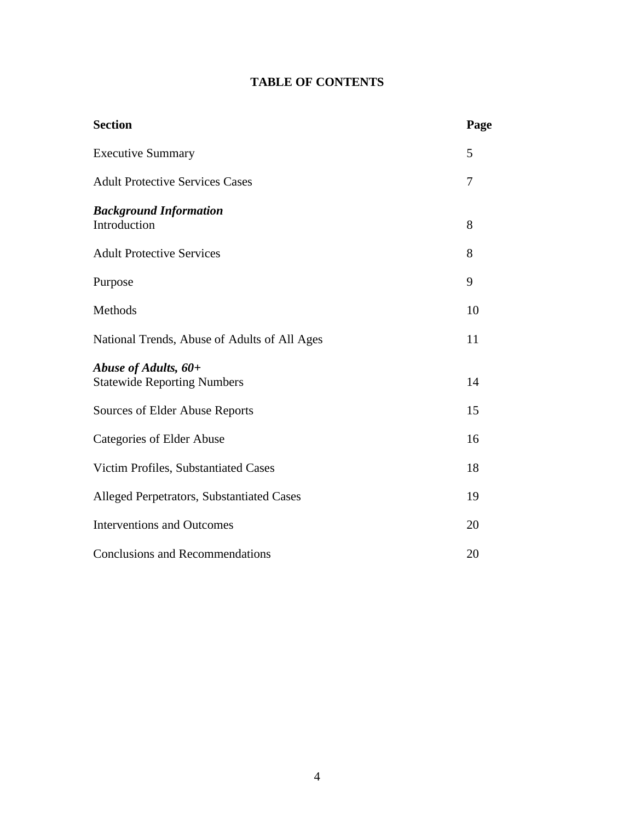# **TABLE OF CONTENTS**

| <b>Section</b>                                             | Page |
|------------------------------------------------------------|------|
| <b>Executive Summary</b>                                   | 5    |
| <b>Adult Protective Services Cases</b>                     | 7    |
| <b>Background Information</b><br>Introduction              | 8    |
| <b>Adult Protective Services</b>                           | 8    |
| Purpose                                                    | 9    |
| Methods                                                    | 10   |
| National Trends, Abuse of Adults of All Ages               | 11   |
| Abuse of Adults, 60+<br><b>Statewide Reporting Numbers</b> | 14   |
| Sources of Elder Abuse Reports                             | 15   |
| Categories of Elder Abuse                                  | 16   |
| Victim Profiles, Substantiated Cases                       | 18   |
| Alleged Perpetrators, Substantiated Cases                  | 19   |
| <b>Interventions and Outcomes</b>                          | 20   |
| <b>Conclusions and Recommendations</b>                     | 20   |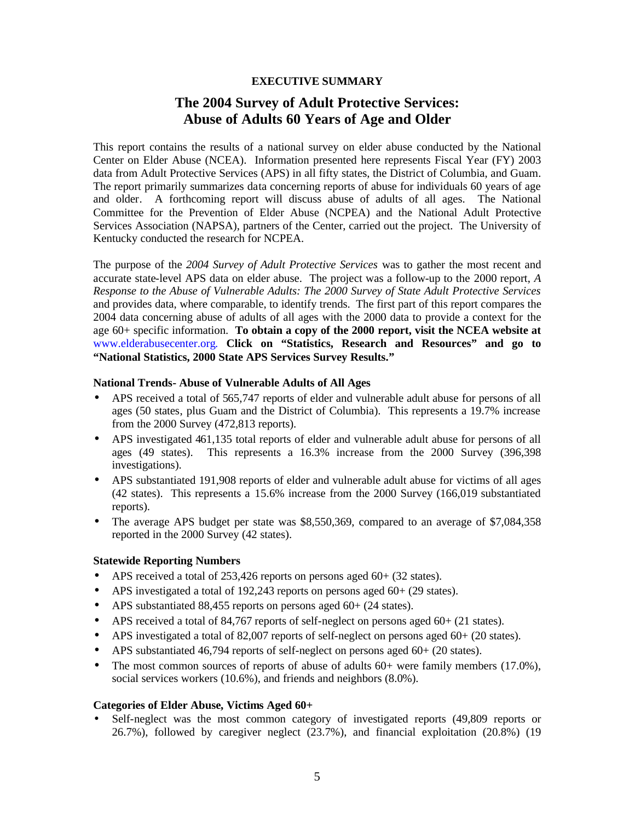#### **EXECUTIVE SUMMARY**

# **The 2004 Survey of Adult Protective Services: Abuse of Adults 60 Years of Age and Older**

This report contains the results of a national survey on elder abuse conducted by the National Center on Elder Abuse (NCEA). Information presented here represents Fiscal Year (FY) 2003 data from Adult Protective Services (APS) in all fifty states, the District of Columbia, and Guam. The report primarily summarizes data concerning reports of abuse for individuals 60 years of age and older. A forthcoming report will discuss abuse of adults of all ages. The National Committee for the Prevention of Elder Abuse (NCPEA) and the National Adult Protective Services Association (NAPSA), partners of the Center, carried out the project. The University of Kentucky conducted the research for NCPEA.

The purpose of the *2004 Survey of Adult Protective Services* was to gather the most recent and accurate state-level APS data on elder abuse. The project was a follow-up to the 2000 report, *A Response to the Abuse of Vulnerable Adults: The 2000 Survey of State Adult Protective Services* and provides data, where comparable, to identify trends. The first part of this report compares the 2004 data concerning abuse of adults of all ages with the 2000 data to provide a context for the age 60+ specific information. **To obtain a copy of the 2000 report, visit the NCEA website at**  www.elderabusecenter.org. **Click on "Statistics, Research and Resources" and go to "National Statistics, 2000 State APS Services Survey Results."**

#### **National Trends- Abuse of Vulnerable Adults of All Ages**

- APS received a total of 565,747 reports of elder and vulnerable adult abuse for persons of all ages (50 states, plus Guam and the District of Columbia). This represents a 19.7% increase from the 2000 Survey (472,813 reports).
- APS investigated 461,135 total reports of elder and vulnerable adult abuse for persons of all ages (49 states). This represents a 16.3% increase from the 2000 Survey (396,398 investigations).
- APS substantiated 191,908 reports of elder and vulnerable adult abuse for victims of all ages (42 states). This represents a 15.6% increase from the 2000 Survey (166,019 substantiated reports).
- The average APS budget per state was \$8,550,369, compared to an average of \$7,084,358 reported in the 2000 Survey (42 states).

### **Statewide Reporting Numbers**

- APS received a total of 253,426 reports on persons aged 60+ (32 states).
- APS investigated a total of 192,243 reports on persons aged  $60+$  (29 states).
- APS substantiated 88,455 reports on persons aged 60+ (24 states).
- APS received a total of 84,767 reports of self-neglect on persons aged 60+ (21 states).
- APS investigated a total of 82,007 reports of self-neglect on persons aged 60+ (20 states).
- APS substantiated 46,794 reports of self-neglect on persons aged 60+ (20 states).
- The most common sources of reports of abuse of adults 60+ were family members (17.0%), social services workers (10.6%), and friends and neighbors (8.0%).

#### **Categories of Elder Abuse, Victims Aged 60+**

Self-neglect was the most common category of investigated reports (49,809 reports or 26.7%), followed by caregiver neglect (23.7%), and financial exploitation (20.8%) (19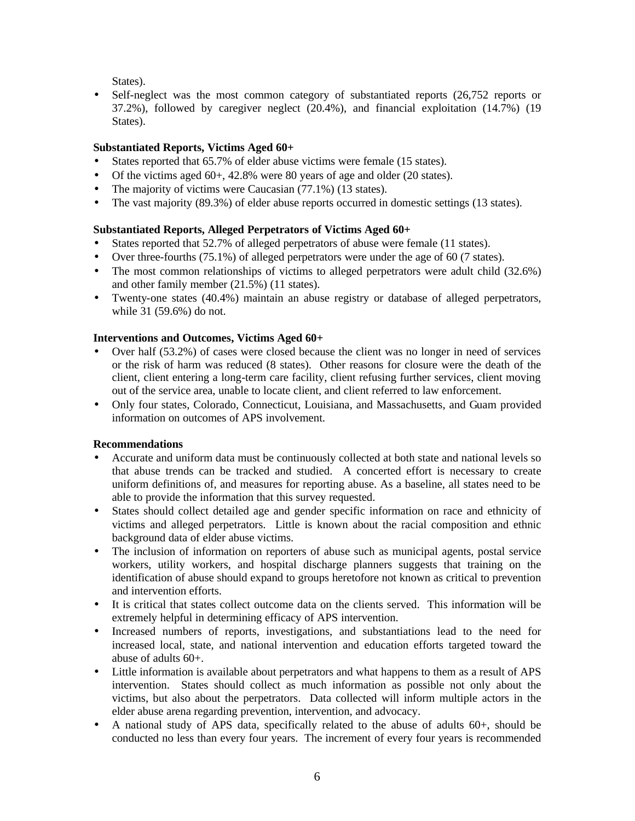States).

• Self-neglect was the most common category of substantiated reports (26,752 reports or 37.2%), followed by caregiver neglect (20.4%), and financial exploitation (14.7%) (19 States).

# **Substantiated Reports, Victims Aged 60+**

- States reported that 65.7% of elder abuse victims were female (15 states).
- Of the victims aged  $60+, 42.8\%$  were 80 years of age and older (20 states).
- The majority of victims were Caucasian (77.1%) (13 states).
- The vast majority (89.3%) of elder abuse reports occurred in domestic settings (13 states).

### **Substantiated Reports, Alleged Perpetrators of Victims Aged 60+**

- States reported that 52.7% of alleged perpetrators of abuse were female (11 states).
- Over three-fourths (75.1%) of alleged perpetrators were under the age of 60 (7 states).
- The most common relationships of victims to alleged perpetrators were adult child (32.6%) and other family member (21.5%) (11 states).
- Twenty-one states (40.4%) maintain an abuse registry or database of alleged perpetrators, while 31 (59.6%) do not.

### **Interventions and Outcomes, Victims Aged 60+**

- Over half (53.2%) of cases were closed because the client was no longer in need of services or the risk of harm was reduced (8 states). Other reasons for closure were the death of the client, client entering a long-term care facility, client refusing further services, client moving out of the service area, unable to locate client, and client referred to law enforcement.
- Only four states, Colorado, Connecticut, Louisiana, and Massachusetts, and Guam provided information on outcomes of APS involvement.

### **Recommendations**

- Accurate and uniform data must be continuously collected at both state and national levels so that abuse trends can be tracked and studied. A concerted effort is necessary to create uniform definitions of, and measures for reporting abuse. As a baseline, all states need to be able to provide the information that this survey requested.
- States should collect detailed age and gender specific information on race and ethnicity of victims and alleged perpetrators. Little is known about the racial composition and ethnic background data of elder abuse victims.
- The inclusion of information on reporters of abuse such as municipal agents, postal service workers, utility workers, and hospital discharge planners suggests that training on the identification of abuse should expand to groups heretofore not known as critical to prevention and intervention efforts.
- It is critical that states collect outcome data on the clients served. This information will be extremely helpful in determining efficacy of APS intervention.
- Increased numbers of reports, investigations, and substantiations lead to the need for increased local, state, and national intervention and education efforts targeted toward the abuse of adults 60+.
- Little information is available about perpetrators and what happens to them as a result of APS intervention. States should collect as much information as possible not only about the victims, but also about the perpetrators. Data collected will inform multiple actors in the elder abuse arena regarding prevention, intervention, and advocacy.
- A national study of APS data, specifically related to the abuse of adults 60+, should be conducted no less than every four years. The increment of every four years is recommended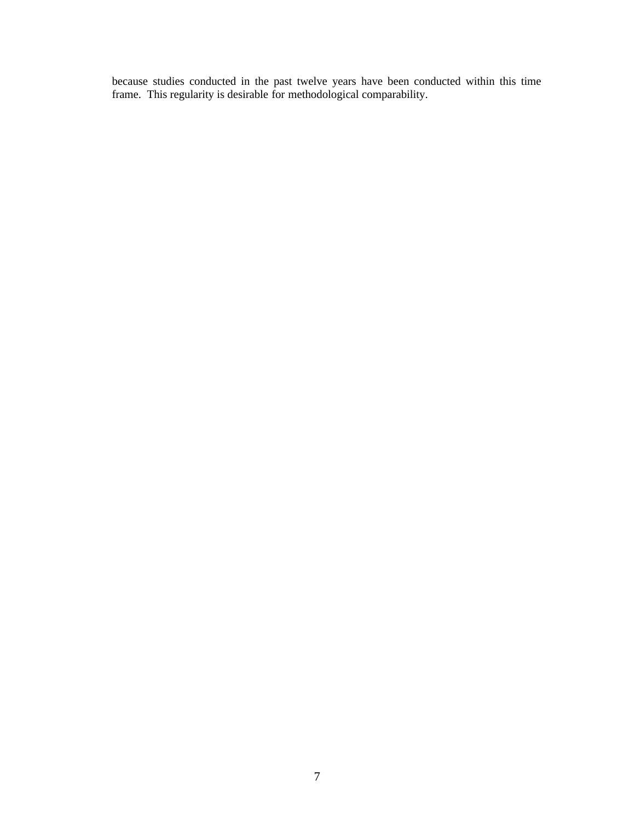because studies conducted in the past twelve years have been conducted within this time frame. This regularity is desirable for methodological comparability.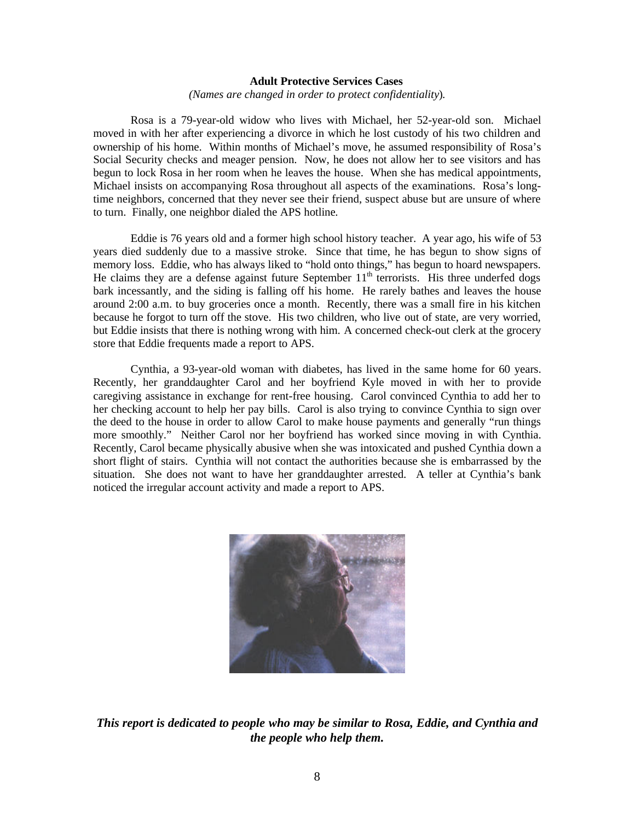#### **Adult Protective Services Cases**

*(Names are changed in order to protect confidentiality*).

Rosa is a 79-year-old widow who lives with Michael, her 52-year-old son. Michael moved in with her after experiencing a divorce in which he lost custody of his two children and ownership of his home. Within months of Michael's move, he assumed responsibility of Rosa's Social Security checks and meager pension. Now, he does not allow her to see visitors and has begun to lock Rosa in her room when he leaves the house. When she has medical appointments, Michael insists on accompanying Rosa throughout all aspects of the examinations. Rosa's longtime neighbors, concerned that they never see their friend, suspect abuse but are unsure of where to turn. Finally, one neighbor dialed the APS hotline.

Eddie is 76 years old and a former high school history teacher. A year ago, his wife of 53 years died suddenly due to a massive stroke. Since that time, he has begun to show signs of memory loss. Eddie, who has always liked to "hold onto things," has begun to hoard newspapers. He claims they are a defense against future September  $11<sup>th</sup>$  terrorists. His three underfed dogs bark incessantly, and the siding is falling off his home. He rarely bathes and leaves the house around 2:00 a.m. to buy groceries once a month. Recently, there was a small fire in his kitchen because he forgot to turn off the stove. His two children, who live out of state, are very worried, but Eddie insists that there is nothing wrong with him. A concerned check-out clerk at the grocery store that Eddie frequents made a report to APS.

Cynthia, a 93-year-old woman with diabetes, has lived in the same home for 60 years. Recently, her granddaughter Carol and her boyfriend Kyle moved in with her to provide caregiving assistance in exchange for rent-free housing. Carol convinced Cynthia to add her to her checking account to help her pay bills. Carol is also trying to convince Cynthia to sign over the deed to the house in order to allow Carol to make house payments and generally "run things more smoothly." Neither Carol nor her boyfriend has worked since moving in with Cynthia. Recently, Carol became physically abusive when she was intoxicated and pushed Cynthia down a short flight of stairs. Cynthia will not contact the authorities because she is embarrassed by the situation. She does not want to have her granddaughter arrested. A teller at Cynthia's bank noticed the irregular account activity and made a report to APS.



*This report is dedicated to people who may be similar to Rosa, Eddie, and Cynthia and the people who help them.*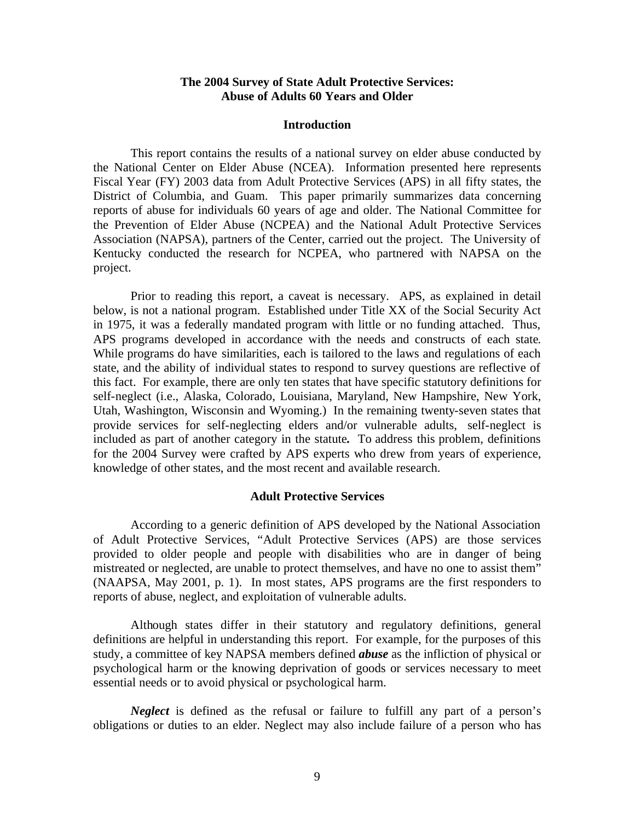### **The 2004 Survey of State Adult Protective Services: Abuse of Adults 60 Years and Older**

#### **Introduction**

This report contains the results of a national survey on elder abuse conducted by the National Center on Elder Abuse (NCEA). Information presented here represents Fiscal Year (FY) 2003 data from Adult Protective Services (APS) in all fifty states, the District of Columbia, and Guam. This paper primarily summarizes data concerning reports of abuse for individuals 60 years of age and older. The National Committee for the Prevention of Elder Abuse (NCPEA) and the National Adult Protective Services Association (NAPSA), partners of the Center, carried out the project. The University of Kentucky conducted the research for NCPEA, who partnered with NAPSA on the project.

Prior to reading this report, a caveat is necessary. APS, as explained in detail below, is not a national program. Established under Title XX of the Social Security Act in 1975, it was a federally mandated program with little or no funding attached. Thus, APS programs developed in accordance with the needs and constructs of each state. While programs do have similarities, each is tailored to the laws and regulations of each state, and the ability of individual states to respond to survey questions are reflective of this fact. For example, there are only ten states that have specific statutory definitions for self-neglect (i.e., Alaska, Colorado, Louisiana, Maryland, New Hampshire, New York, Utah, Washington, Wisconsin and Wyoming.) In the remaining twenty-seven states that provide services for self-neglecting elders and/or vulnerable adults, self-neglect is included as part of another category in the statute**.** To address this problem, definitions for the 2004 Survey were crafted by APS experts who drew from years of experience, knowledge of other states, and the most recent and available research.

#### **Adult Protective Services**

According to a generic definition of APS developed by the National Association of Adult Protective Services, "Adult Protective Services (APS) are those services provided to older people and people with disabilities who are in danger of being mistreated or neglected, are unable to protect themselves, and have no one to assist them" (NAAPSA, May 2001, p. 1). In most states, APS programs are the first responders to reports of abuse, neglect, and exploitation of vulnerable adults.

Although states differ in their statutory and regulatory definitions, general definitions are helpful in understanding this report. For example, for the purposes of this study, a committee of key NAPSA members defined *abuse* as the infliction of physical or psychological harm or the knowing deprivation of goods or services necessary to meet essential needs or to avoid physical or psychological harm.

*Neglect* is defined as the refusal or failure to fulfill any part of a person's obligations or duties to an elder. Neglect may also include failure of a person who has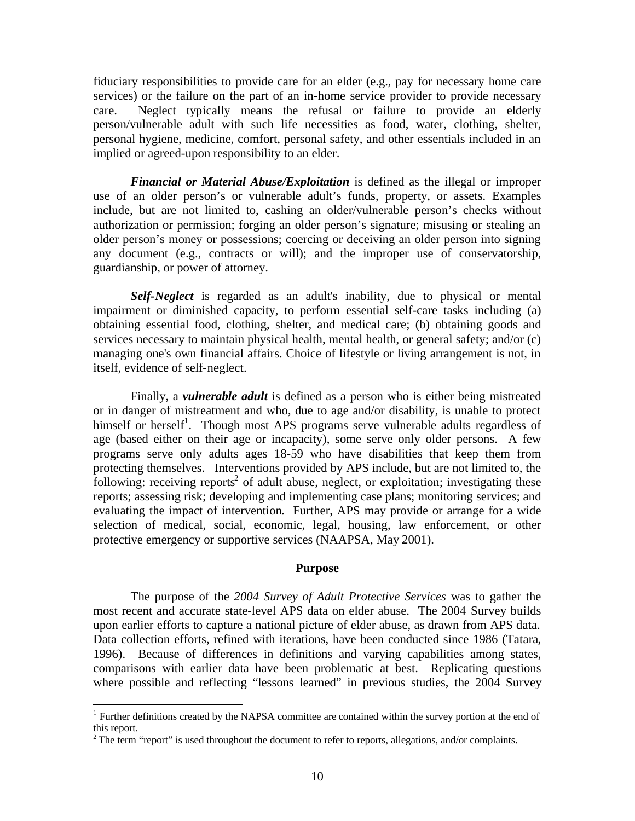fiduciary responsibilities to provide care for an elder (e.g., pay for necessary home care services) or the failure on the part of an in-home service provider to provide necessary care. Neglect typically means the refusal or failure to provide an elderly person/vulnerable adult with such life necessities as food, water, clothing, shelter, personal hygiene, medicine, comfort, personal safety, and other essentials included in an implied or agreed-upon responsibility to an elder.

*Financial or Material Abuse/Exploitation* is defined as the illegal or improper use of an older person's or vulnerable adult's funds, property, or assets. Examples include, but are not limited to, cashing an older/vulnerable person's checks without authorization or permission; forging an older person's signature; misusing or stealing an older person's money or possessions; coercing or deceiving an older person into signing any document (e.g., contracts or will); and the improper use of conservatorship, guardianship, or power of attorney.

*Self-Neglect* is regarded as an adult's inability, due to physical or mental impairment or diminished capacity, to perform essential self-care tasks including (a) obtaining essential food, clothing, shelter, and medical care; (b) obtaining goods and services necessary to maintain physical health, mental health, or general safety; and/or (c) managing one's own financial affairs. Choice of lifestyle or living arrangement is not, in itself, evidence of self-neglect.

Finally, a *vulnerable adult* is defined as a person who is either being mistreated or in danger of mistreatment and who, due to age and/or disability, is unable to protect himself or herself<sup>1</sup>. Though most APS programs serve vulnerable adults regardless of age (based either on their age or incapacity), some serve only older persons. A few programs serve only adults ages 18-59 who have disabilities that keep them from protecting themselves. Interventions provided by APS include, but are not limited to, the following: receiving reports<sup>2</sup> of adult abuse, neglect, or exploitation; investigating these reports; assessing risk; developing and implementing case plans; monitoring services; and evaluating the impact of intervention. Further, APS may provide or arrange for a wide selection of medical, social, economic, legal, housing, law enforcement, or other protective emergency or supportive services (NAAPSA, May 2001).

### **Purpose**

The purpose of the *2004 Survey of Adult Protective Services* was to gather the most recent and accurate state-level APS data on elder abuse. The 2004 Survey builds upon earlier efforts to capture a national picture of elder abuse, as drawn from APS data. Data collection efforts, refined with iterations, have been conducted since 1986 (Tatara, 1996). Because of differences in definitions and varying capabilities among states, comparisons with earlier data have been problematic at best. Replicating questions where possible and reflecting "lessons learned" in previous studies, the 2004 Survey

 $\overline{a}$ 

<sup>&</sup>lt;sup>1</sup> Further definitions created by the NAPSA committee are contained within the survey portion at the end of this report.

 $2^2$ The term "report" is used throughout the document to refer to reports, allegations, and/or complaints.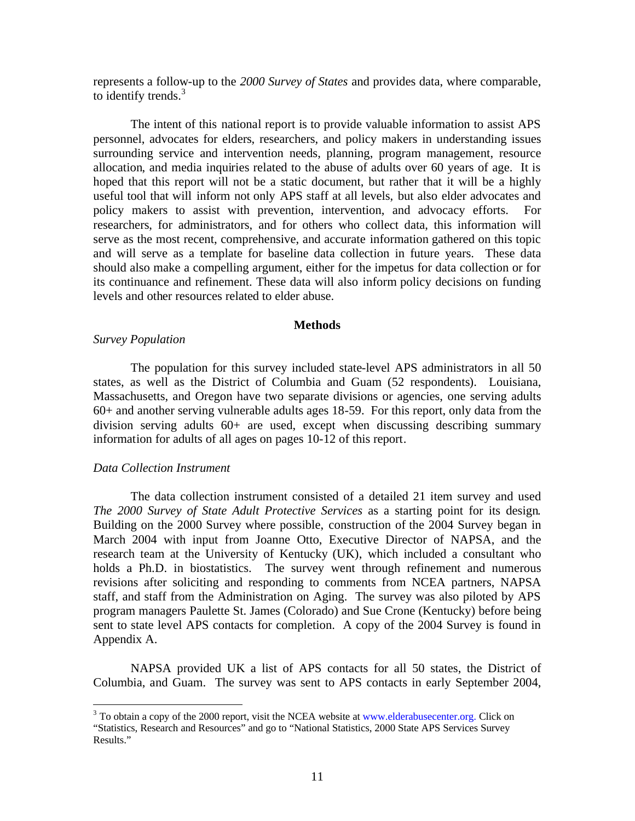represents a follow-up to the *2000 Survey of States* and provides data, where comparable, to identify trends.<sup>3</sup>

The intent of this national report is to provide valuable information to assist APS personnel, advocates for elders, researchers, and policy makers in understanding issues surrounding service and intervention needs, planning, program management, resource allocation, and media inquiries related to the abuse of adults over 60 years of age. It is hoped that this report will not be a static document, but rather that it will be a highly useful tool that will inform not only APS staff at all levels, but also elder advocates and policy makers to assist with prevention, intervention, and advocacy efforts. For researchers, for administrators, and for others who collect data, this information will serve as the most recent, comprehensive, and accurate information gathered on this topic and will serve as a template for baseline data collection in future years. These data should also make a compelling argument, either for the impetus for data collection or for its continuance and refinement. These data will also inform policy decisions on funding levels and other resources related to elder abuse.

#### **Methods**

#### *Survey Population*

The population for this survey included state-level APS administrators in all 50 states, as well as the District of Columbia and Guam (52 respondents). Louisiana, Massachusetts, and Oregon have two separate divisions or agencies, one serving adults 60+ and another serving vulnerable adults ages 18-59. For this report, only data from the division serving adults 60+ are used, except when discussing describing summary information for adults of all ages on pages 10-12 of this report.

### *Data Collection Instrument*

 $\overline{a}$ 

The data collection instrument consisted of a detailed 21 item survey and used *The 2000 Survey of State Adult Protective Services* as a starting point for its design*.* Building on the 2000 Survey where possible, construction of the 2004 Survey began in March 2004 with input from Joanne Otto, Executive Director of NAPSA, and the research team at the University of Kentucky (UK), which included a consultant who holds a Ph.D. in biostatistics. The survey went through refinement and numerous revisions after soliciting and responding to comments from NCEA partners, NAPSA staff, and staff from the Administration on Aging. The survey was also piloted by APS program managers Paulette St. James (Colorado) and Sue Crone (Kentucky) before being sent to state level APS contacts for completion. A copy of the 2004 Survey is found in Appendix A.

NAPSA provided UK a list of APS contacts for all 50 states, the District of Columbia, and Guam. The survey was sent to APS contacts in early September 2004,

 $3$  To obtain a copy of the 2000 report, visit the NCEA website at www.elderabusecenter.org. Click on "Statistics, Research and Resources" and go to "National Statistics, 2000 State APS Services Survey Results."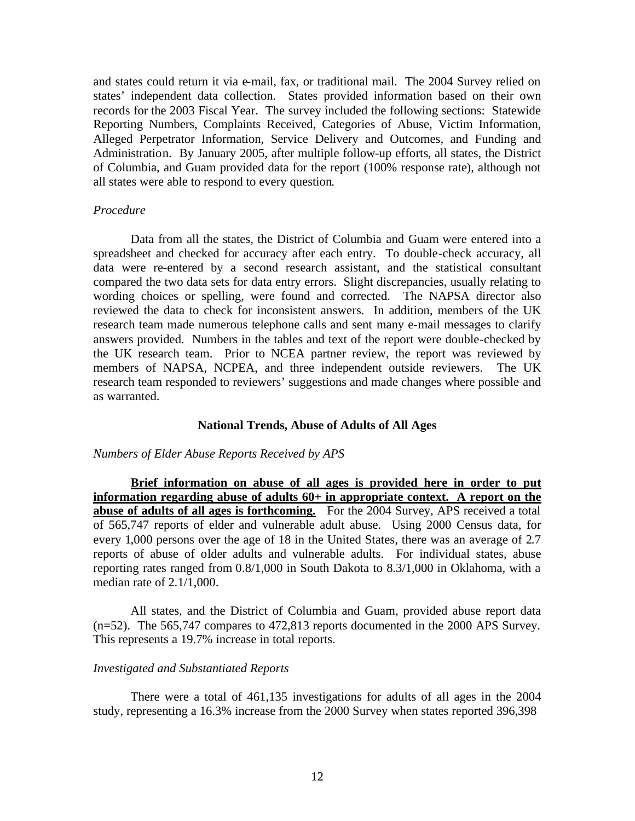and states could return it via e-mail, fax, or traditional mail. The 2004 Survey relied on states' independent data collection. States provided information based on their own records for the 2003 Fiscal Year. The survey included the following sections: Statewide Reporting Numbers, Complaints Received, Categories of Abuse, Victim Information, Alleged Perpetrator Information, Service Delivery and Outcomes, and Funding and Administration. By January 2005, after multiple follow-up efforts, all states, the District of Columbia, and Guam provided data for the report (100% response rate), although not all states were able to respond to every question.

#### *Procedure*

Data from all the states, the District of Columbia and Guam were entered into a spreadsheet and checked for accuracy after each entry. To double-check accuracy, all data were re-entered by a second research assistant, and the statistical consultant compared the two data sets for data entry errors. Slight discrepancies, usually relating to wording choices or spelling, were found and corrected. The NAPSA director also reviewed the data to check for inconsistent answers. In addition, members of the UK research team made numerous telephone calls and sent many e-mail messages to clarify answers provided. Numbers in the tables and text of the report were double-checked by the UK research team. Prior to NCEA partner review, the report was reviewed by members of NAPSA, NCPEA, and three independent outside reviewers. The UK research team responded to reviewers' suggestions and made changes where possible and as warranted.

#### **National Trends, Abuse of Adults of All Ages**

#### *Numbers of Elder Abuse Reports Received by APS*

**Brief information on abuse of all ages is provided here in order to put information regarding abuse of adults 60+ in appropriate context. A report on the abuse of adults of all ages is forthcoming.** For the 2004 Survey, APS received a total of 565,747 reports of elder and vulnerable adult abuse. Using 2000 Census data, for every 1,000 persons over the age of 18 in the United States, there was an average of 2.7 reports of abuse of older adults and vulnerable adults. For individual states, abuse reporting rates ranged from 0.8/1,000 in South Dakota to 8.3/1,000 in Oklahoma, with a median rate of 2.1/1,000.

All states, and the District of Columbia and Guam, provided abuse report data (n=52). The 565,747 compares to 472,813 reports documented in the 2000 APS Survey. This represents a 19.7% increase in total reports.

### *Investigated and Substantiated Reports*

There were a total of 461,135 investigations for adults of all ages in the 2004 study, representing a 16.3% increase from the 2000 Survey when states reported 396,398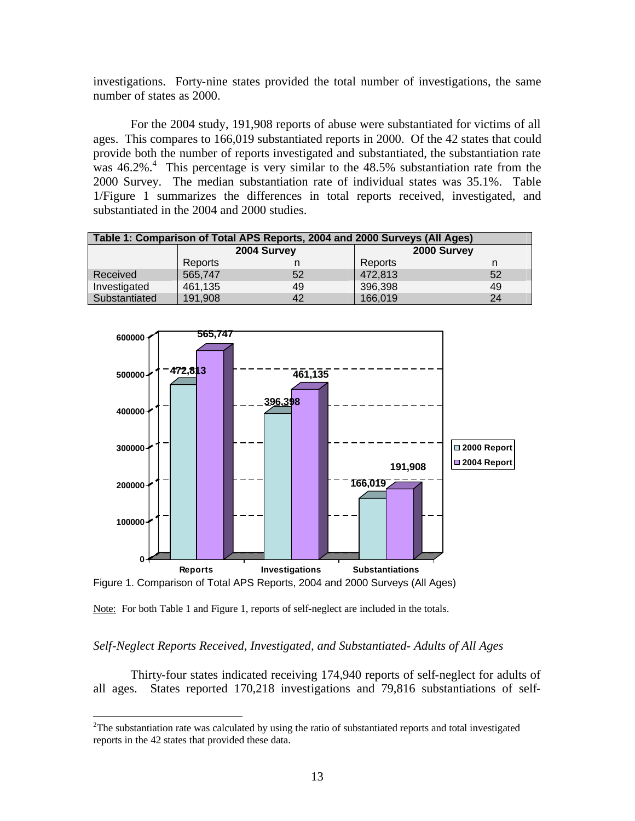investigations. Forty-nine states provided the total number of investigations, the same number of states as 2000.

For the 2004 study, 191,908 reports of abuse were substantiated for victims of all ages. This compares to 166,019 substantiated reports in 2000. Of the 42 states that could provide both the number of reports investigated and substantiated, the substantiation rate was 46.2%.<sup>4</sup> This percentage is very similar to the 48.5% substantiation rate from the 2000 Survey. The median substantiation rate of individual states was 35.1%. Table 1/Figure 1 summarizes the differences in total reports received, investigated, and substantiated in the 2004 and 2000 studies.

| Table 1: Comparison of Total APS Reports, 2004 and 2000 Surveys (All Ages) |         |             |         |             |  |  |  |  |
|----------------------------------------------------------------------------|---------|-------------|---------|-------------|--|--|--|--|
|                                                                            |         | 2004 Survey |         | 2000 Survey |  |  |  |  |
|                                                                            | Reports |             | Reports | n           |  |  |  |  |
| Received                                                                   | 565,747 | 52          | 472,813 | 52          |  |  |  |  |
| Investigated                                                               | 461,135 | 49          | 396,398 | 49          |  |  |  |  |
| Substantiated                                                              | 191,908 | 42          | 166,019 | 24          |  |  |  |  |



Figure 1. Comparison of Total APS Reports, 2004 and 2000 Surveys (All Ages)

Note: For both Table 1 and Figure 1, reports of self-neglect are included in the totals.

 $\overline{a}$ 

# *Self-Neglect Reports Received, Investigated, and Substantiated- Adults of All Ages*

Thirty-four states indicated receiving 174,940 reports of self-neglect for adults of all ages. States reported 170,218 investigations and 79,816 substantiations of self-

<sup>&</sup>lt;sup>2</sup>The substantiation rate was calculated by using the ratio of substantiated reports and total investigated reports in the 42 states that provided these data.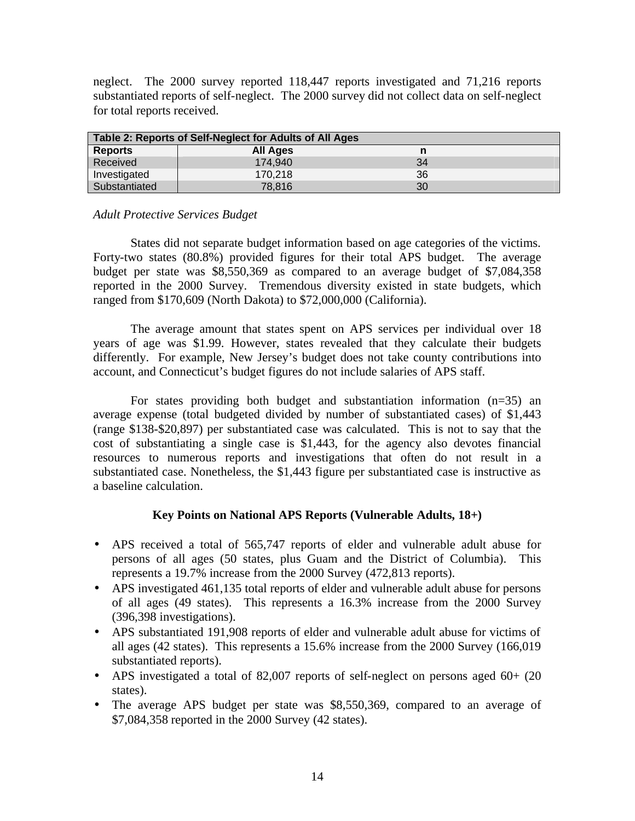neglect. The 2000 survey reported 118,447 reports investigated and 71,216 reports substantiated reports of self-neglect. The 2000 survey did not collect data on self-neglect for total reports received.

| Table 2: Reports of Self-Neglect for Adults of All Ages |          |    |  |  |  |  |  |  |  |
|---------------------------------------------------------|----------|----|--|--|--|--|--|--|--|
| <b>Reports</b>                                          | All Ages |    |  |  |  |  |  |  |  |
| Received                                                | 174.940  | 34 |  |  |  |  |  |  |  |
| Investigated                                            | 170.218  | 36 |  |  |  |  |  |  |  |
| Substantiated                                           | 78,816   | 30 |  |  |  |  |  |  |  |

# *Adult Protective Services Budget*

States did not separate budget information based on age categories of the victims. Forty-two states (80.8%) provided figures for their total APS budget. The average budget per state was \$8,550,369 as compared to an average budget of \$7,084,358 reported in the 2000 Survey. Tremendous diversity existed in state budgets, which ranged from \$170,609 (North Dakota) to \$72,000,000 (California).

The average amount that states spent on APS services per individual over 18 years of age was \$1.99. However, states revealed that they calculate their budgets differently. For example, New Jersey's budget does not take county contributions into account, and Connecticut's budget figures do not include salaries of APS staff.

For states providing both budget and substantiation information (n=35) an average expense (total budgeted divided by number of substantiated cases) of \$1,443 (range \$138-\$20,897) per substantiated case was calculated. This is not to say that the cost of substantiating a single case is \$1,443, for the agency also devotes financial resources to numerous reports and investigations that often do not result in a substantiated case. Nonetheless, the \$1,443 figure per substantiated case is instructive as a baseline calculation.

# **Key Points on National APS Reports (Vulnerable Adults, 18+)**

- APS received a total of 565,747 reports of elder and vulnerable adult abuse for persons of all ages (50 states, plus Guam and the District of Columbia). This represents a 19.7% increase from the 2000 Survey (472,813 reports).
- APS investigated 461,135 total reports of elder and vulnerable adult abuse for persons of all ages (49 states). This represents a 16.3% increase from the 2000 Survey (396,398 investigations).
- APS substantiated 191,908 reports of elder and vulnerable adult abuse for victims of all ages (42 states). This represents a 15.6% increase from the 2000 Survey (166,019 substantiated reports).
- APS investigated a total of 82,007 reports of self-neglect on persons aged 60+ (20 states).
- The average APS budget per state was \$8,550,369, compared to an average of \$7,084,358 reported in the 2000 Survey (42 states).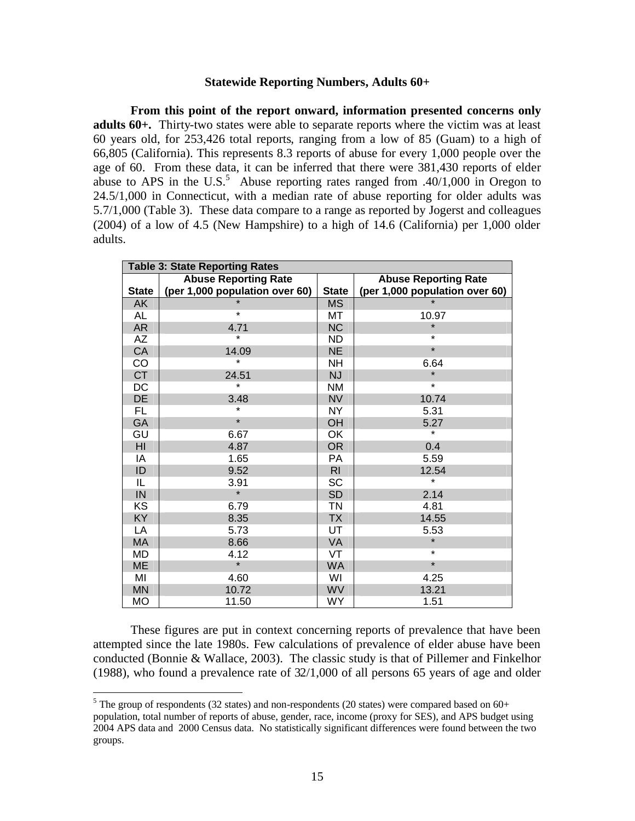#### **Statewide Reporting Numbers, Adults 60+**

**From this point of the report onward, information presented concerns only adults 60+.** Thirty-two states were able to separate reports where the victim was at least 60 years old, for 253,426 total reports, ranging from a low of 85 (Guam) to a high of 66,805 (California). This represents 8.3 reports of abuse for every 1,000 people over the age of 60. From these data, it can be inferred that there were 381,430 reports of elder abuse to APS in the U.S.<sup>5</sup> Abuse reporting rates ranged from .40/1,000 in Oregon to 24.5/1,000 in Connecticut, with a median rate of abuse reporting for older adults was 5.7/1,000 (Table 3). These data compare to a range as reported by Jogerst and colleagues (2004) of a low of 4.5 (New Hampshire) to a high of 14.6 (California) per 1,000 older adults.

| <b>Table 3: State Reporting Rates</b> |                                |                |                                |  |  |  |  |  |
|---------------------------------------|--------------------------------|----------------|--------------------------------|--|--|--|--|--|
|                                       | <b>Abuse Reporting Rate</b>    |                | <b>Abuse Reporting Rate</b>    |  |  |  |  |  |
| <b>State</b>                          | (per 1,000 population over 60) | <b>State</b>   | (per 1,000 population over 60) |  |  |  |  |  |
| AK                                    |                                | <b>MS</b>      |                                |  |  |  |  |  |
| <b>AL</b>                             | $\star$                        | MT             | 10.97                          |  |  |  |  |  |
| <b>AR</b>                             | 4.71                           | <b>NC</b>      | $\star$                        |  |  |  |  |  |
| AZ                                    | ¥                              | ND             | *                              |  |  |  |  |  |
| CA                                    | 14.09                          | <b>NE</b>      | $\star$                        |  |  |  |  |  |
| CO                                    | $\star$                        | <b>NH</b>      | 6.64                           |  |  |  |  |  |
| <b>CT</b>                             | 24.51                          | <b>NJ</b>      | $\star$                        |  |  |  |  |  |
| DC                                    | $\star$                        | <b>NM</b>      | ¥                              |  |  |  |  |  |
| DE                                    | 3.48                           | <b>NV</b>      | 10.74                          |  |  |  |  |  |
| FL.                                   | $\star$                        | <b>NY</b>      | 5.31                           |  |  |  |  |  |
| GA                                    | $\star$                        | OH             | 5.27                           |  |  |  |  |  |
| GU                                    | 6.67                           | OK             | ¥                              |  |  |  |  |  |
| HI                                    | 4.87                           | <b>OR</b>      | 0.4                            |  |  |  |  |  |
| IA                                    | 1.65                           | PA             | 5.59                           |  |  |  |  |  |
| ID                                    | 9.52                           | R <sub>l</sub> | 12.54                          |  |  |  |  |  |
| IL.                                   | 3.91                           | SC             | $\star$                        |  |  |  |  |  |
| IN                                    | $\star$                        | <b>SD</b>      | 2.14                           |  |  |  |  |  |
| KS                                    | 6.79                           | <b>TN</b>      | 4.81                           |  |  |  |  |  |
| KY                                    | 8.35                           | <b>TX</b>      | 14.55                          |  |  |  |  |  |
| LA                                    | 5.73                           | UT             | 5.53                           |  |  |  |  |  |
| <b>MA</b>                             | 8.66                           | VA             | $\star$                        |  |  |  |  |  |
| MD                                    | 4.12                           | VT             | *                              |  |  |  |  |  |
| <b>ME</b>                             | $\star$                        | <b>WA</b>      | $\star$                        |  |  |  |  |  |
| MI                                    | 4.60                           | WI             | 4.25                           |  |  |  |  |  |
| <b>MN</b>                             | 10.72                          | <b>WV</b>      | 13.21                          |  |  |  |  |  |
| MO                                    | 11.50                          | WY             | 1.51                           |  |  |  |  |  |

These figures are put in context concerning reports of prevalence that have been attempted since the late 1980s. Few calculations of prevalence of elder abuse have been conducted (Bonnie & Wallace, 2003). The classic study is that of Pillemer and Finkelhor (1988), who found a prevalence rate of 32/1,000 of all persons 65 years of age and older

<sup>&</sup>lt;sup>5</sup>The group of respondents (32 states) and non-respondents (20 states) were compared based on 60+ population, total number of reports of abuse, gender, race, income (proxy for SES), and APS budget using 2004 APS data and 2000 Census data. No statistically significant differences were found between the two groups.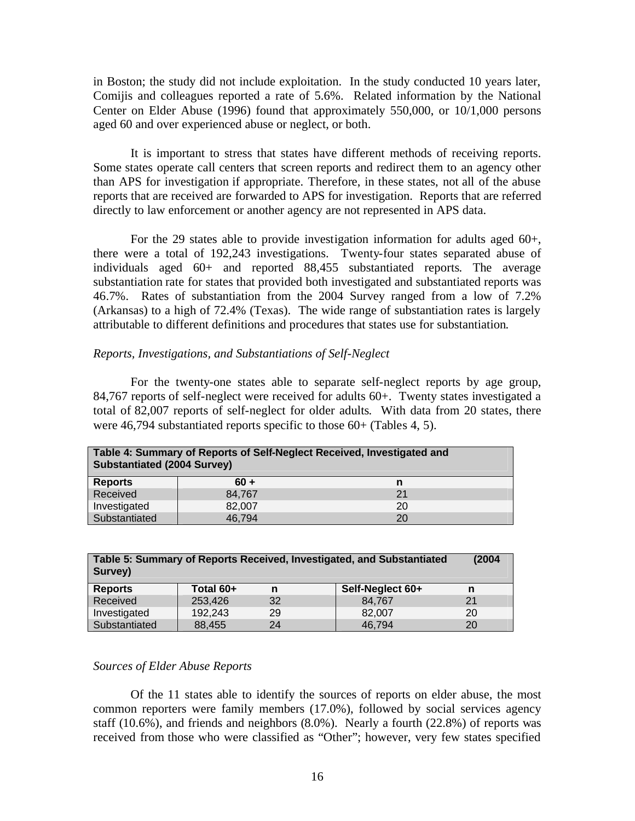in Boston; the study did not include exploitation. In the study conducted 10 years later, Comijis and colleagues reported a rate of 5.6%. Related information by the National Center on Elder Abuse (1996) found that approximately 550,000, or 10/1,000 persons aged 60 and over experienced abuse or neglect, or both.

It is important to stress that states have different methods of receiving reports. Some states operate call centers that screen reports and redirect them to an agency other than APS for investigation if appropriate. Therefore, in these states, not all of the abuse reports that are received are forwarded to APS for investigation. Reports that are referred directly to law enforcement or another agency are not represented in APS data.

For the 29 states able to provide investigation information for adults aged 60+, there were a total of 192,243 investigations. Twenty-four states separated abuse of individuals aged 60+ and reported 88,455 substantiated reports. The average substantiation rate for states that provided both investigated and substantiated reports was 46.7%. Rates of substantiation from the 2004 Survey ranged from a low of 7.2% (Arkansas) to a high of 72.4% (Texas). The wide range of substantiation rates is largely attributable to different definitions and procedures that states use for substantiation.

### *Reports, Investigations, and Substantiations of Self-Neglect*

For the twenty-one states able to separate self-neglect reports by age group, 84,767 reports of self-neglect were received for adults 60+. Twenty states investigated a total of 82,007 reports of self-neglect for older adults. With data from 20 states, there were 46,794 substantiated reports specific to those 60+ (Tables 4, 5).

| Table 4: Summary of Reports of Self-Neglect Received, Investigated and<br><b>Substantiated (2004 Survey)</b> |        |    |  |  |  |  |  |
|--------------------------------------------------------------------------------------------------------------|--------|----|--|--|--|--|--|
| <b>Reports</b>                                                                                               | $60 +$ | n  |  |  |  |  |  |
| Received                                                                                                     | 84,767 | 21 |  |  |  |  |  |
| Investigated                                                                                                 | 82,007 | 20 |  |  |  |  |  |
| Substantiated                                                                                                | 46.794 | 20 |  |  |  |  |  |

| Table 5: Summary of Reports Received, Investigated, and Substantiated<br>(2004)<br>Survey) |           |    |                  |    |  |  |  |  |
|--------------------------------------------------------------------------------------------|-----------|----|------------------|----|--|--|--|--|
| <b>Reports</b>                                                                             | Total 60+ | n  | Self-Neglect 60+ | n  |  |  |  |  |
| Received                                                                                   | 253,426   | 32 | 84.767           | 21 |  |  |  |  |
| Investigated                                                                               | 192.243   | 29 | 82,007           | 20 |  |  |  |  |
| Substantiated                                                                              | 88.455    | 24 | 46.794           | 20 |  |  |  |  |

## *Sources of Elder Abuse Reports*

Of the 11 states able to identify the sources of reports on elder abuse, the most common reporters were family members (17.0%), followed by social services agency staff (10.6%), and friends and neighbors (8.0%). Nearly a fourth (22.8%) of reports was received from those who were classified as "Other"; however, very few states specified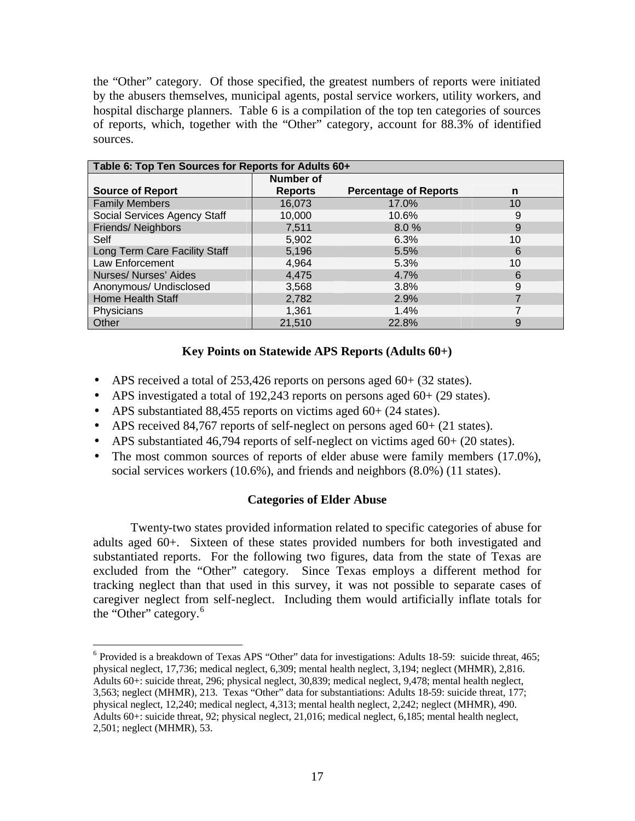the "Other" category. Of those specified, the greatest numbers of reports were initiated by the abusers themselves, municipal agents, postal service workers, utility workers, and hospital discharge planners. Table 6 is a compilation of the top ten categories of sources of reports, which, together with the "Other" category, account for 88.3% of identified sources.

| Table 6: Top Ten Sources for Reports for Adults 60+ |                  |                              |    |  |  |  |  |  |  |
|-----------------------------------------------------|------------------|------------------------------|----|--|--|--|--|--|--|
|                                                     | <b>Number of</b> |                              |    |  |  |  |  |  |  |
| <b>Source of Report</b>                             | <b>Reports</b>   | <b>Percentage of Reports</b> | n  |  |  |  |  |  |  |
| <b>Family Members</b>                               | 16,073           | 17.0%                        | 10 |  |  |  |  |  |  |
| Social Services Agency Staff                        | 10,000           | 10.6%                        | 9  |  |  |  |  |  |  |
| Friends/Neighbors                                   | 7,511            | 8.0%                         | 9  |  |  |  |  |  |  |
| Self                                                | 5,902            | 6.3%                         | 10 |  |  |  |  |  |  |
| Long Term Care Facility Staff                       | 5,196            | 5.5%                         | 6  |  |  |  |  |  |  |
| Law Enforcement                                     | 4,964            | 5.3%                         | 10 |  |  |  |  |  |  |
| Nurses/ Nurses' Aides                               | 4,475            | 4.7%                         | 6  |  |  |  |  |  |  |
| Anonymous/ Undisclosed                              | 3,568            | 3.8%                         | 9  |  |  |  |  |  |  |
| <b>Home Health Staff</b>                            | 2,782            | 2.9%                         |    |  |  |  |  |  |  |
| Physicians                                          | 1,361            | 1.4%                         |    |  |  |  |  |  |  |
| Other                                               | 21.510           | 22.8%                        | 9  |  |  |  |  |  |  |

# **Key Points on Statewide APS Reports (Adults 60+)**

- APS received a total of 253,426 reports on persons aged 60+ (32 states).
- APS investigated a total of 192,243 reports on persons aged 60+ (29 states).
- APS substantiated 88,455 reports on victims aged 60+ (24 states).
- APS received 84,767 reports of self-neglect on persons aged 60+ (21 states).
- APS substantiated 46,794 reports of self-neglect on victims aged 60+ (20 states).
- The most common sources of reports of elder abuse were family members (17.0%), social services workers (10.6%), and friends and neighbors (8.0%) (11 states).

# **Categories of Elder Abuse**

Twenty-two states provided information related to specific categories of abuse for adults aged 60+. Sixteen of these states provided numbers for both investigated and substantiated reports. For the following two figures, data from the state of Texas are excluded from the "Other" category. Since Texas employs a different method for tracking neglect than that used in this survey, it was not possible to separate cases of caregiver neglect from self-neglect. Including them would artificially inflate totals for the "Other" category.<sup>6</sup>

 $\overline{a}$  $6$  Provided is a breakdown of Texas APS "Other" data for investigations: Adults 18-59: suicide threat, 465; physical neglect, 17,736; medical neglect, 6,309; mental health neglect, 3,194; neglect (MHMR), 2,816. Adults 60+: suicide threat, 296; physical neglect, 30,839; medical neglect, 9,478; mental health neglect, 3,563; neglect (MHMR), 213. Texas "Other" data for substantiations: Adults 18-59: suicide threat, 177; physical neglect, 12,240; medical neglect, 4,313; mental health neglect, 2,242; neglect (MHMR), 490. Adults 60+: suicide threat, 92; physical neglect, 21,016; medical neglect, 6,185; mental health neglect, 2,501; neglect (MHMR), 53.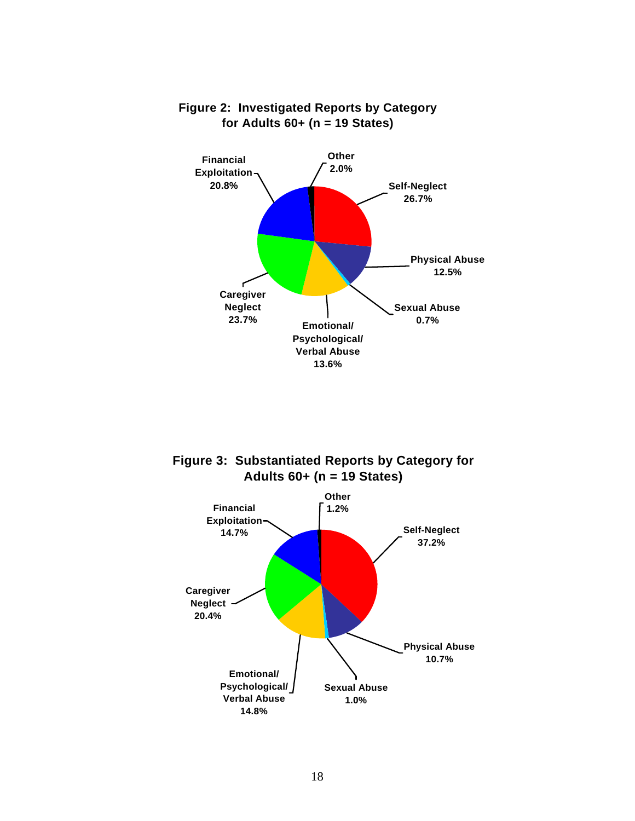![](_page_17_Figure_0.jpeg)

# **Figure 2: Investigated Reports by Category for Adults 60+ (n = 19 States)**

**Figure 3: Substantiated Reports by Category for Adults 60+ (n = 19 States)**

![](_page_17_Figure_3.jpeg)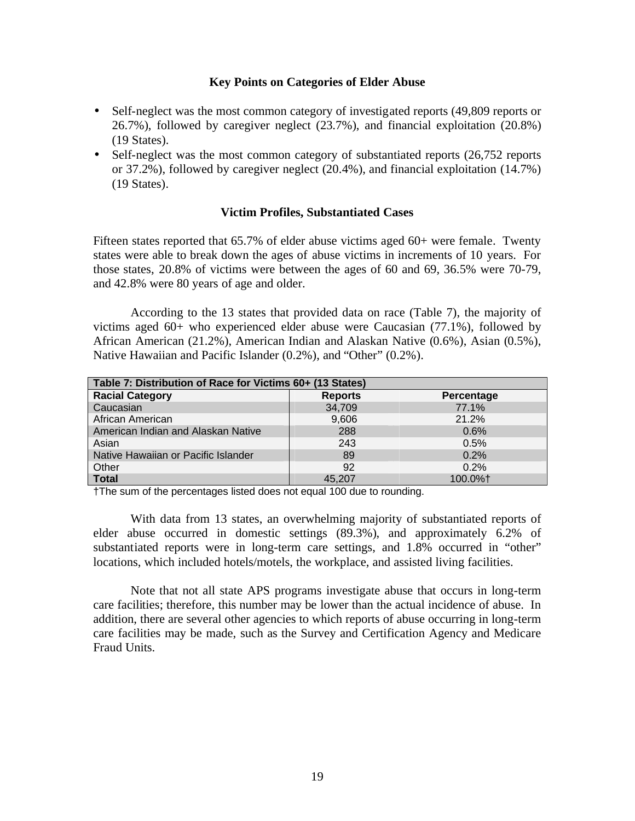## **Key Points on Categories of Elder Abuse**

- Self-neglect was the most common category of investigated reports (49,809 reports or 26.7%), followed by caregiver neglect (23.7%), and financial exploitation (20.8%) (19 States).
- Self-neglect was the most common category of substantiated reports (26,752 reports or 37.2%), followed by caregiver neglect (20.4%), and financial exploitation (14.7%) (19 States).

## **Victim Profiles, Substantiated Cases**

Fifteen states reported that 65.7% of elder abuse victims aged 60+ were female. Twenty states were able to break down the ages of abuse victims in increments of 10 years. For those states, 20.8% of victims were between the ages of 60 and 69, 36.5% were 70-79, and 42.8% were 80 years of age and older.

According to the 13 states that provided data on race (Table 7), the majority of victims aged 60+ who experienced elder abuse were Caucasian (77.1%), followed by African American (21.2%), American Indian and Alaskan Native (0.6%), Asian (0.5%), Native Hawaiian and Pacific Islander (0.2%), and "Other" (0.2%).

| Table 7: Distribution of Race for Victims 60+ (13 States) |                |            |  |  |  |  |  |  |  |  |
|-----------------------------------------------------------|----------------|------------|--|--|--|--|--|--|--|--|
| <b>Racial Category</b>                                    | <b>Reports</b> | Percentage |  |  |  |  |  |  |  |  |
| Caucasian                                                 | 34,709         | 77.1%      |  |  |  |  |  |  |  |  |
| African American                                          | 9,606          | 21.2%      |  |  |  |  |  |  |  |  |
| American Indian and Alaskan Native                        | 288            | 0.6%       |  |  |  |  |  |  |  |  |
| Asian                                                     | 243            | 0.5%       |  |  |  |  |  |  |  |  |
| Native Hawaiian or Pacific Islander                       | 89             | 0.2%       |  |  |  |  |  |  |  |  |
| Other                                                     | 92             | 0.2%       |  |  |  |  |  |  |  |  |
| <b>Total</b>                                              | 45.207         | 100.0%†    |  |  |  |  |  |  |  |  |

†The sum of the percentages listed does not equal 100 due to rounding.

With data from 13 states, an overwhelming majority of substantiated reports of elder abuse occurred in domestic settings (89.3%), and approximately 6.2% of substantiated reports were in long-term care settings, and 1.8% occurred in "other" locations, which included hotels/motels, the workplace, and assisted living facilities.

Note that not all state APS programs investigate abuse that occurs in long-term care facilities; therefore, this number may be lower than the actual incidence of abuse. In addition, there are several other agencies to which reports of abuse occurring in long-term care facilities may be made, such as the Survey and Certification Agency and Medicare Fraud Units.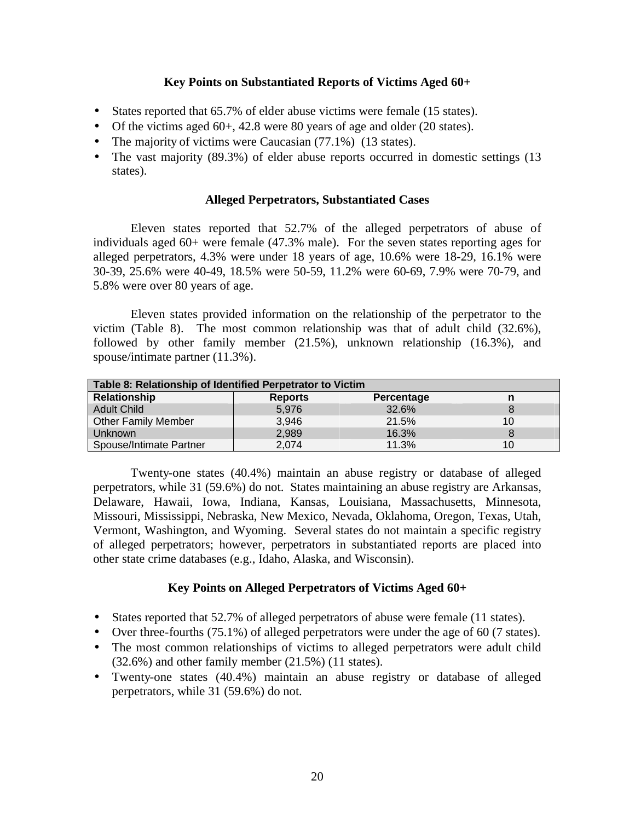# **Key Points on Substantiated Reports of Victims Aged 60+**

- States reported that 65.7% of elder abuse victims were female (15 states).
- Of the victims aged  $60+$ , 42.8 were 80 years of age and older (20 states).
- The majority of victims were Caucasian (77.1%) (13 states).
- The vast majority (89.3%) of elder abuse reports occurred in domestic settings (13 states).

# **Alleged Perpetrators, Substantiated Cases**

Eleven states reported that 52.7% of the alleged perpetrators of abuse of individuals aged 60+ were female (47.3% male). For the seven states reporting ages for alleged perpetrators, 4.3% were under 18 years of age, 10.6% were 18-29, 16.1% were 30-39, 25.6% were 40-49, 18.5% were 50-59, 11.2% were 60-69, 7.9% were 70-79, and 5.8% were over 80 years of age.

Eleven states provided information on the relationship of the perpetrator to the victim (Table 8). The most common relationship was that of adult child (32.6%), followed by other family member (21.5%), unknown relationship (16.3%), and spouse/intimate partner (11.3%).

| Table 8: Relationship of Identified Perpetrator to Victim |                |            |    |  |  |  |  |  |  |
|-----------------------------------------------------------|----------------|------------|----|--|--|--|--|--|--|
| <b>Relationship</b>                                       | <b>Reports</b> | Percentage | n  |  |  |  |  |  |  |
| <b>Adult Child</b>                                        | 5.976          | 32.6%      |    |  |  |  |  |  |  |
| <b>Other Family Member</b>                                | 3,946          | 21.5%      | 10 |  |  |  |  |  |  |
| <b>Unknown</b>                                            | 2,989          | 16.3%      |    |  |  |  |  |  |  |
| Spouse/Intimate Partner                                   | 2.074          | 11.3%      | 10 |  |  |  |  |  |  |

Twenty-one states (40.4%) maintain an abuse registry or database of alleged perpetrators, while 31 (59.6%) do not. States maintaining an abuse registry are Arkansas, Delaware, Hawaii, Iowa, Indiana, Kansas, Louisiana, Massachusetts, Minnesota, Missouri, Mississippi, Nebraska, New Mexico, Nevada, Oklahoma, Oregon, Texas, Utah, Vermont, Washington, and Wyoming. Several states do not maintain a specific registry of alleged perpetrators; however, perpetrators in substantiated reports are placed into other state crime databases (e.g., Idaho, Alaska, and Wisconsin).

# **Key Points on Alleged Perpetrators of Victims Aged 60+**

- States reported that 52.7% of alleged perpetrators of abuse were female (11 states).
- Over three-fourths (75.1%) of alleged perpetrators were under the age of 60 (7 states).
- The most common relationships of victims to alleged perpetrators were adult child  $(32.6\%)$  and other family member  $(21.5\%)$  (11 states).
- Twenty-one states (40.4%) maintain an abuse registry or database of alleged perpetrators, while 31 (59.6%) do not.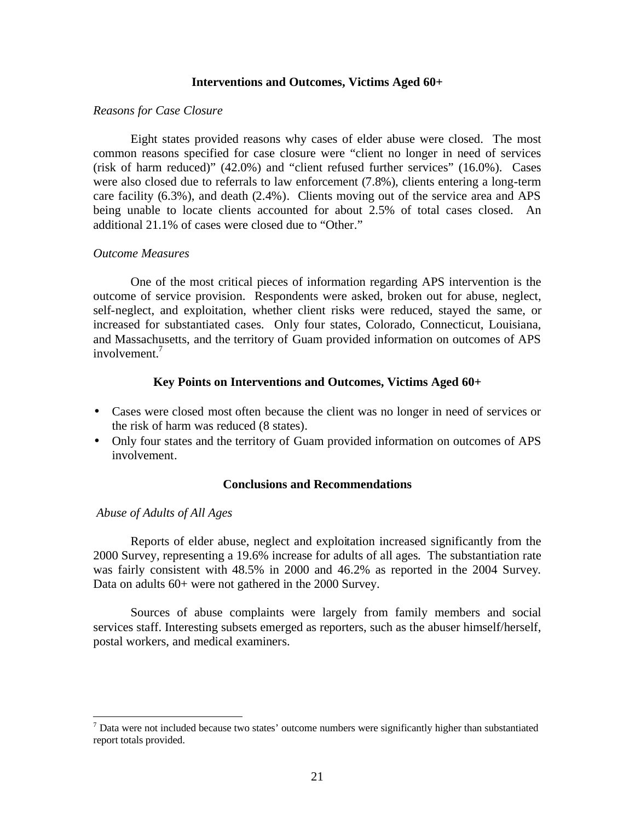#### **Interventions and Outcomes, Victims Aged 60+**

#### *Reasons for Case Closure*

Eight states provided reasons why cases of elder abuse were closed. The most common reasons specified for case closure were "client no longer in need of services (risk of harm reduced)" (42.0%) and "client refused further services" (16.0%). Cases were also closed due to referrals to law enforcement (7.8%), clients entering a long-term care facility (6.3%), and death (2.4%). Clients moving out of the service area and APS being unable to locate clients accounted for about 2.5% of total cases closed. An additional 21.1% of cases were closed due to "Other."

#### *Outcome Measures*

One of the most critical pieces of information regarding APS intervention is the outcome of service provision. Respondents were asked, broken out for abuse, neglect, self-neglect, and exploitation, whether client risks were reduced, stayed the same, or increased for substantiated cases. Only four states, Colorado, Connecticut, Louisiana, and Massachusetts, and the territory of Guam provided information on outcomes of APS involvement.<sup>7</sup>

#### **Key Points on Interventions and Outcomes, Victims Aged 60+**

- Cases were closed most often because the client was no longer in need of services or the risk of harm was reduced (8 states).
- Only four states and the territory of Guam provided information on outcomes of APS involvement.

#### **Conclusions and Recommendations**

#### *Abuse of Adults of All Ages*

<u>.</u>

Reports of elder abuse, neglect and exploitation increased significantly from the 2000 Survey, representing a 19.6% increase for adults of all ages. The substantiation rate was fairly consistent with 48.5% in 2000 and 46.2% as reported in the 2004 Survey. Data on adults 60+ were not gathered in the 2000 Survey.

Sources of abuse complaints were largely from family members and social services staff. Interesting subsets emerged as reporters, such as the abuser himself/herself, postal workers, and medical examiners.

 $7$  Data were not included because two states' outcome numbers were significantly higher than substantiated report totals provided.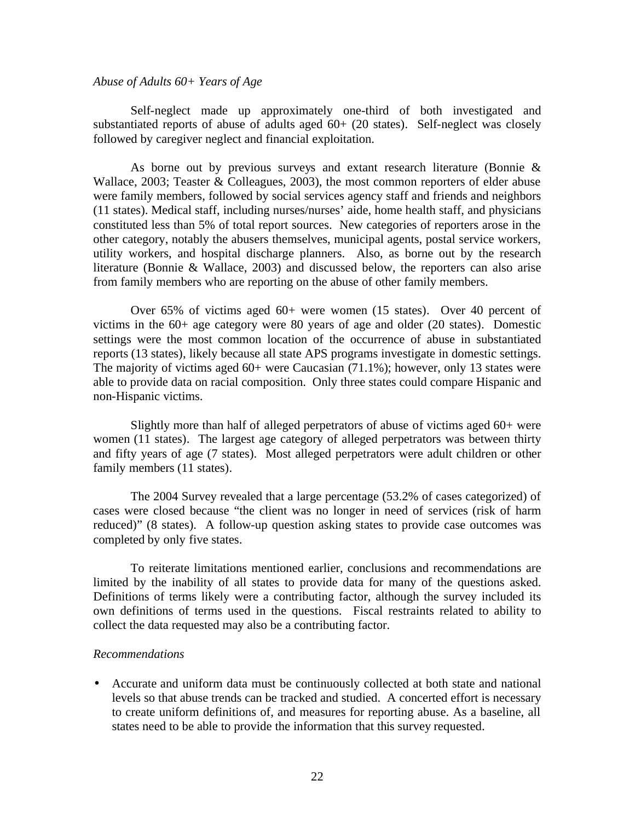#### *Abuse of Adults 60+ Years of Age*

Self-neglect made up approximately one-third of both investigated and substantiated reports of abuse of adults aged  $60+$  (20 states). Self-neglect was closely followed by caregiver neglect and financial exploitation.

As borne out by previous surveys and extant research literature (Bonnie & Wallace, 2003; Teaster & Colleagues, 2003), the most common reporters of elder abuse were family members, followed by social services agency staff and friends and neighbors (11 states). Medical staff, including nurses/nurses' aide, home health staff, and physicians constituted less than 5% of total report sources. New categories of reporters arose in the other category, notably the abusers themselves, municipal agents, postal service workers, utility workers, and hospital discharge planners. Also, as borne out by the research literature (Bonnie & Wallace, 2003) and discussed below, the reporters can also arise from family members who are reporting on the abuse of other family members.

Over 65% of victims aged 60+ were women (15 states). Over 40 percent of victims in the 60+ age category were 80 years of age and older (20 states). Domestic settings were the most common location of the occurrence of abuse in substantiated reports (13 states), likely because all state APS programs investigate in domestic settings. The majority of victims aged 60+ were Caucasian (71.1%); however, only 13 states were able to provide data on racial composition. Only three states could compare Hispanic and non-Hispanic victims.

Slightly more than half of alleged perpetrators of abuse of victims aged 60+ were women (11 states). The largest age category of alleged perpetrators was between thirty and fifty years of age (7 states). Most alleged perpetrators were adult children or other family members (11 states).

The 2004 Survey revealed that a large percentage (53.2% of cases categorized) of cases were closed because "the client was no longer in need of services (risk of harm reduced)" (8 states). A follow-up question asking states to provide case outcomes was completed by only five states.

To reiterate limitations mentioned earlier, conclusions and recommendations are limited by the inability of all states to provide data for many of the questions asked. Definitions of terms likely were a contributing factor, although the survey included its own definitions of terms used in the questions. Fiscal restraints related to ability to collect the data requested may also be a contributing factor.

#### *Recommendations*

• Accurate and uniform data must be continuously collected at both state and national levels so that abuse trends can be tracked and studied. A concerted effort is necessary to create uniform definitions of, and measures for reporting abuse. As a baseline, all states need to be able to provide the information that this survey requested.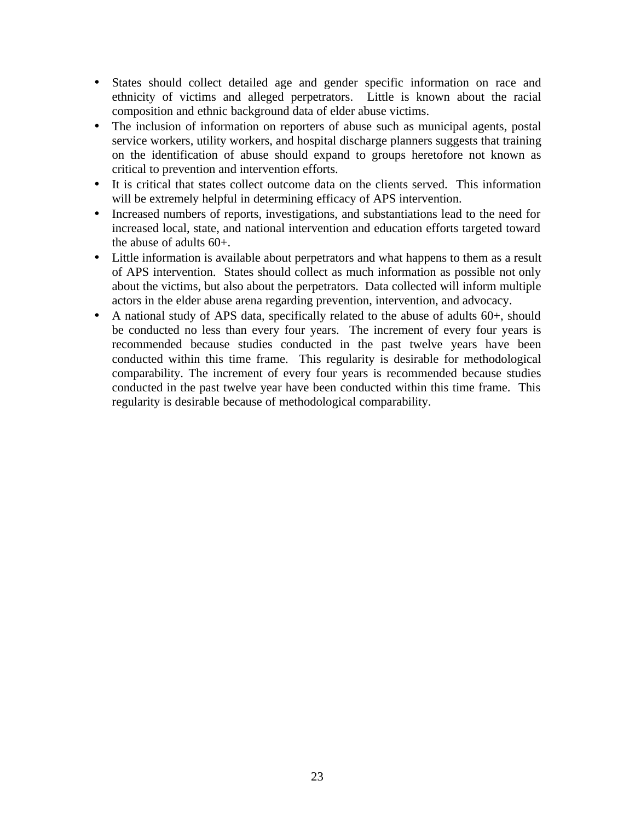- States should collect detailed age and gender specific information on race and ethnicity of victims and alleged perpetrators. Little is known about the racial composition and ethnic background data of elder abuse victims.
- The inclusion of information on reporters of abuse such as municipal agents, postal service workers, utility workers, and hospital discharge planners suggests that training on the identification of abuse should expand to groups heretofore not known as critical to prevention and intervention efforts.
- It is critical that states collect outcome data on the clients served. This information will be extremely helpful in determining efficacy of APS intervention.
- Increased numbers of reports, investigations, and substantiations lead to the need for increased local, state, and national intervention and education efforts targeted toward the abuse of adults 60+.
- Little information is available about perpetrators and what happens to them as a result of APS intervention. States should collect as much information as possible not only about the victims, but also about the perpetrators. Data collected will inform multiple actors in the elder abuse arena regarding prevention, intervention, and advocacy.
- A national study of APS data, specifically related to the abuse of adults 60+, should be conducted no less than every four years. The increment of every four years is recommended because studies conducted in the past twelve years have been conducted within this time frame. This regularity is desirable for methodological comparability. The increment of every four years is recommended because studies conducted in the past twelve year have been conducted within this time frame. This regularity is desirable because of methodological comparability.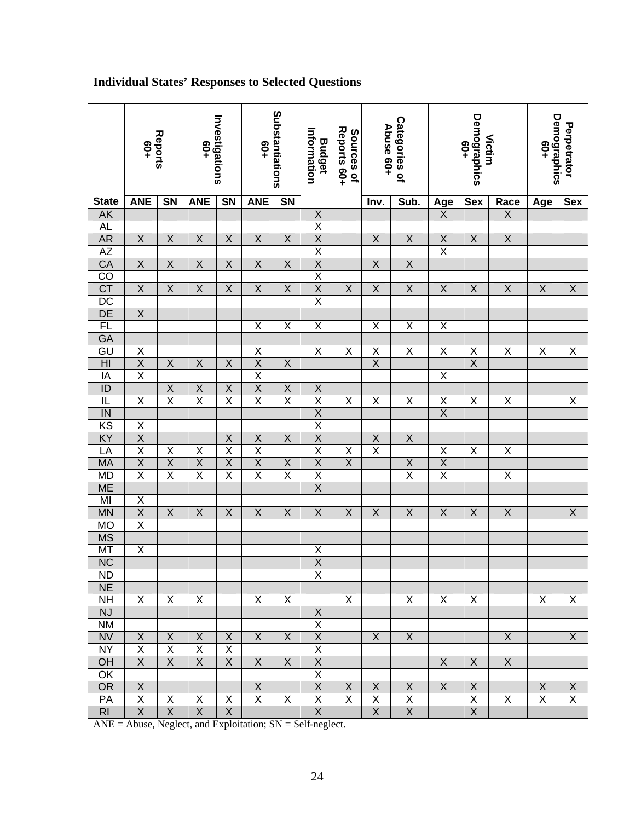# **Individual States' Responses to Selected Questions**

|                                  | Reports<br>$+09$                          |                                     | Investigations<br>$+09$             |                         | $+09$                                     | Substantiations                     |                                                                           | Reports 60+<br>Sources of | <b>Categories of</b><br>Abuse 60+ |                                 |                         | <b>Demographics</b><br>$+09$ | Victim         | <b>Demographics</b><br>$+0.9$ | Perpetrator             |
|----------------------------------|-------------------------------------------|-------------------------------------|-------------------------------------|-------------------------|-------------------------------------------|-------------------------------------|---------------------------------------------------------------------------|---------------------------|-----------------------------------|---------------------------------|-------------------------|------------------------------|----------------|-------------------------------|-------------------------|
| <b>State</b>                     | <b>ANE</b>                                | $\overline{\text{SN}}$              | <b>ANE</b>                          | <b>SN</b>               | <b>ANE</b>                                | <b>SN</b>                           |                                                                           |                           | Inv.                              | Sub.                            | Age                     | <b>Sex</b>                   | Race           | Age                           | <b>Sex</b>              |
| <b>AK</b>                        |                                           |                                     |                                     |                         |                                           |                                     |                                                                           |                           |                                   |                                 | $\overline{\mathsf{x}}$ |                              | $\overline{X}$ |                               |                         |
| <b>AL</b>                        |                                           |                                     |                                     |                         |                                           |                                     |                                                                           |                           |                                   |                                 |                         |                              |                |                               |                         |
|                                  | $\overline{X}$                            | $\overline{X}$                      | $\overline{X}$                      | $\overline{X}$          | $\overline{X}$                            | $\overline{X}$                      |                                                                           |                           | $\overline{X}$                    | $\overline{\mathsf{x}}$         | $\mathsf X$             | $\overline{X}$               | $\overline{X}$ |                               |                         |
| AR AZ CA CO CT DC DE FL GA GU HI |                                           |                                     |                                     |                         |                                           |                                     | $\frac{X}{X}$ $\frac{X}{X}$ $\frac{X}{X}$ $\frac{X}{X}$ $\frac{X}{X}$     |                           |                                   |                                 | $\overline{\mathsf{x}}$ |                              |                |                               |                         |
|                                  | $\overline{\mathsf{X}}$                   | $\overline{\mathsf{X}}$             | $\overline{X}$                      | $\overline{X}$          | $\overline{\mathsf{x}}$                   | $\overline{\mathsf{X}}$             |                                                                           |                           | $\overline{X}$                    | $\overline{\mathsf{X}}$         |                         |                              |                |                               |                         |
|                                  |                                           |                                     |                                     |                         |                                           |                                     |                                                                           |                           |                                   |                                 |                         |                              |                |                               |                         |
|                                  | $\overline{X}$                            | $\overline{X}$                      | $\overline{X}$                      | $\overline{X}$          | $\overline{X}$                            | $\overline{\mathsf{X}}$             |                                                                           | $\overline{X}$            | $\overline{X}$                    | $\overline{\mathsf{X}}$         | $\overline{X}$          | $\overline{X}$               | $\overline{X}$ | $\overline{X}$                | $\overline{X}$          |
|                                  |                                           |                                     |                                     |                         |                                           |                                     |                                                                           |                           |                                   |                                 |                         |                              |                |                               |                         |
|                                  | $\overline{X}$                            |                                     |                                     |                         |                                           |                                     |                                                                           |                           |                                   |                                 |                         |                              |                |                               |                         |
|                                  |                                           |                                     |                                     |                         | $\overline{\mathsf{x}}$                   | $\overline{X}$                      | $\overline{\mathsf{x}}$                                                   |                           | Χ                                 | $\overline{\mathsf{X}}$         | X                       |                              |                |                               |                         |
|                                  |                                           |                                     |                                     |                         |                                           |                                     |                                                                           |                           |                                   |                                 |                         |                              |                |                               |                         |
|                                  |                                           |                                     |                                     |                         | $\frac{X}{X}$ $\frac{X}{X}$ $\frac{X}{X}$ |                                     | $\overline{\mathsf{x}}$                                                   | Χ                         | $\frac{X}{X}$                     | $\overline{\mathsf{x}}$         | Χ                       | $\frac{X}{X}$                | $\mathsf X$    | $\overline{X}$                | X                       |
|                                  | $\frac{X}{X}$                             | $\overline{X}$                      | $\overline{X}$                      | $\overline{X}$          |                                           | $\overline{X}$                      |                                                                           |                           |                                   |                                 |                         |                              |                |                               |                         |
| $\frac{IA}{ID}$                  |                                           |                                     |                                     |                         |                                           |                                     |                                                                           |                           |                                   |                                 | $\overline{X}$          |                              |                |                               |                         |
|                                  |                                           | $\frac{\overline{X}}{\overline{X}}$ | $\frac{\overline{X}}{\overline{X}}$ | $\mathsf X$             |                                           | $\frac{\overline{X}}{\overline{X}}$ |                                                                           |                           |                                   |                                 |                         |                              |                |                               |                         |
| $\overline{\mathbb{L}}$          | $\overline{\mathsf{x}}$                   |                                     |                                     | $\overline{\mathsf{x}}$ |                                           |                                     |                                                                           | Χ                         | Χ                                 | $\overline{\mathsf{X}}$         | X                       | $\overline{X}$               | Χ              |                               | $\overline{\mathsf{X}}$ |
| $\frac{IN}{KS}$                  |                                           |                                     |                                     |                         |                                           |                                     |                                                                           |                           |                                   |                                 | $\overline{\mathsf{X}}$ |                              |                |                               |                         |
|                                  |                                           |                                     |                                     |                         |                                           |                                     |                                                                           |                           |                                   |                                 |                         |                              |                |                               |                         |
| KY                               |                                           |                                     |                                     | $\overline{X}$          |                                           | $\overline{X}$                      |                                                                           |                           | $\overline{X}$                    | $\overline{\mathsf{X}}$         |                         |                              |                |                               |                         |
| LA                               | $\frac{X}{X}$ $\frac{X}{X}$ $\frac{X}{X}$ | $\frac{x}{x}$                       | $\frac{x}{x}$                       | $\overline{\mathsf{x}}$ | $\frac{X}{X}$<br>$\frac{X}{X}$            |                                     |                                                                           | $\times$                  | $\overline{\mathsf{x}}$           |                                 | X                       | $\overline{\mathsf{x}}$      | $\mathsf X$    |                               |                         |
| <b>MA</b>                        |                                           |                                     |                                     | $\overline{\mathsf{X}}$ |                                           | $\frac{\mathsf{X}}{\mathsf{X}}$     |                                                                           | $\overline{\mathsf{X}}$   |                                   | $\frac{\mathsf{X}}{\mathsf{X}}$ | $\overline{\mathsf{X}}$ |                              |                |                               |                         |
| <b>MD</b>                        |                                           |                                     |                                     | $\overline{\mathsf{x}}$ |                                           |                                     | $\frac{X}{X} \frac{X}{X} \frac{X}{X} \frac{X}{X} \frac{X}{X} \frac{X}{X}$ |                           |                                   |                                 | $\overline{\mathsf{x}}$ |                              | $\overline{X}$ |                               |                         |
| <b>ME</b>                        |                                           |                                     |                                     |                         |                                           |                                     |                                                                           |                           |                                   |                                 |                         |                              |                |                               |                         |
| $\overline{\mathsf{MI}}$         | $\frac{x}{x}$                             |                                     |                                     |                         |                                           |                                     |                                                                           |                           |                                   |                                 |                         |                              |                |                               |                         |
| <b>MN</b>                        |                                           | $\overline{X}$                      | $\overline{X}$                      | $\overline{X}$          | $\overline{X}$                            | $\overline{X}$                      | $\overline{X}$                                                            | $\overline{X}$            | $\overline{X}$                    | $\overline{X}$                  | $\overline{X}$          | $\overline{\mathsf{x}}$      | $\overline{X}$ |                               | $\overline{X}$          |
| <b>MO</b>                        |                                           |                                     |                                     |                         |                                           |                                     |                                                                           |                           |                                   |                                 |                         |                              |                |                               |                         |
| <b>MS</b>                        |                                           |                                     |                                     |                         |                                           |                                     |                                                                           |                           |                                   |                                 |                         |                              |                |                               |                         |
| МT                               | $\overline{\mathsf{x}}$                   |                                     |                                     |                         |                                           |                                     | $\frac{\overline{X}}{\overline{X}}$                                       |                           |                                   |                                 |                         |                              |                |                               |                         |
| <b>NC</b>                        |                                           |                                     |                                     |                         |                                           |                                     |                                                                           |                           |                                   |                                 |                         |                              |                |                               |                         |
| <b>ND</b>                        |                                           |                                     |                                     |                         |                                           |                                     | X                                                                         |                           |                                   |                                 |                         |                              |                |                               |                         |
| <b>NE</b>                        |                                           |                                     |                                     |                         |                                           |                                     |                                                                           |                           |                                   |                                 |                         |                              |                |                               |                         |
| <b>NH</b>                        | X                                         | $\overline{X}$                      | X                                   |                         | X                                         | $\overline{X}$                      |                                                                           | X                         |                                   | $\overline{X}$                  | X                       | $\sf X$                      |                | X                             | X                       |
| <b>NJ</b>                        |                                           |                                     |                                     |                         |                                           |                                     | $\mathsf X$                                                               |                           |                                   |                                 |                         |                              |                |                               |                         |
| <b>NM</b>                        |                                           |                                     |                                     |                         |                                           |                                     | $\overline{\mathsf{x}}$                                                   |                           |                                   |                                 |                         |                              |                |                               |                         |
| <b>NV</b>                        | $\mathsf X$                               | $\overline{X}$                      | $\boldsymbol{\mathsf{X}}$           | $\mathsf X$             | $\overline{X}$                            | $\overline{X}$                      | $\overline{\mathsf{X}}$                                                   |                           | X                                 | $\overline{X}$                  |                         |                              | $\overline{X}$ |                               | $\sf X$                 |
| <b>NY</b>                        | $\overline{X}$                            | $\overline{\mathsf{x}}$             | $\overline{\mathsf{X}}$             | $\overline{\mathsf{X}}$ |                                           |                                     | $\overline{\mathsf{x}}$                                                   |                           |                                   |                                 |                         |                              |                |                               |                         |
| $\overline{O}$ H                 | $\overline{X}$                            | $\overline{X}$                      | $\overline{X}$                      | $\overline{X}$          | $\overline{X}$                            | $\overline{X}$                      | $\overline{\mathsf{X}}$                                                   |                           |                                   |                                 | $\overline{X}$          | $\overline{X}$               | $\overline{X}$ |                               |                         |
| $\overline{OK}$                  |                                           |                                     |                                     |                         |                                           |                                     | $\overline{\mathsf{x}}$                                                   |                           |                                   |                                 |                         |                              |                |                               |                         |
| OR                               | $\mathsf X$                               |                                     |                                     |                         | $\overline{X}$                            |                                     | $\overline{\mathsf{X}}$                                                   | $\mathsf X$               | X                                 | $\mathsf X$                     | $\mathsf{X}$            | $\overline{X}$               |                | X                             | X                       |
| PA                               | $\overline{\mathsf{X}}$                   | X                                   | X                                   | X                       | $\overline{\mathsf{x}}$                   | $\overline{\mathsf{x}}$             | $\overline{\mathsf{x}}$                                                   | $\overline{\mathsf{x}}$   | $\overline{\mathsf{x}}$           | $\overline{\mathsf{x}}$         |                         | $\overline{\mathsf{x}}$      | X              | $\overline{\mathsf{x}}$       | $\overline{\mathsf{x}}$ |
| $\overline{R}$                   | $\overline{X}$                            | $\overline{\mathsf{X}}$             | $\overline{X}$                      | $\overline{X}$          |                                           |                                     | $\overline{\mathsf{x}}$                                                   |                           | $\overline{\mathsf{X}}$           | $\overline{X}$                  |                         | $\overline{\mathsf{X}}$      |                |                               |                         |

ANE = Abuse, Neglect, and Exploitation; SN = Self-neglect.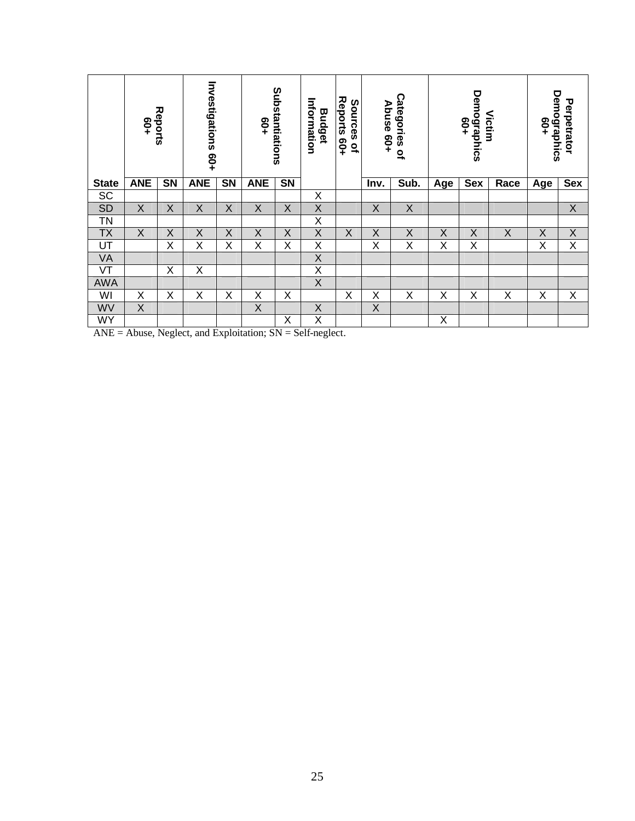|                                   | Reports<br>$50+$ |                         | Investigations 60+      |    | $+09$                   | Substantiations         | Information<br>Budget   | Reports 60+<br>Sources<br>ዹ |      | <b>Categories of</b><br>Abuse 60+ |     | <b>Demographics</b><br>Victim<br>$\frac{6}{6}$ |      | <b>Demographics</b><br>$50+$ | Perpetrator             |
|-----------------------------------|------------------|-------------------------|-------------------------|----|-------------------------|-------------------------|-------------------------|-----------------------------|------|-----------------------------------|-----|------------------------------------------------|------|------------------------------|-------------------------|
| <b>State</b>                      | <b>ANE</b>       | SN                      | <b>ANE</b>              | SN | <b>ANE</b>              | <b>SN</b>               |                         |                             | Inv. | Sub.                              | Age | <b>Sex</b>                                     | Race | Age                          | <b>Sex</b>              |
| SC                                |                  |                         |                         |    |                         |                         | Χ                       |                             |      |                                   |     |                                                |      |                              |                         |
| $\overline{SD}$                   | X                | X                       | X                       | X  | X                       | X                       | $\overline{\mathsf{X}}$ |                             | X    | $\sf X$                           |     |                                                |      |                              | X                       |
| $\overline{\mathsf{T}}\mathsf{N}$ |                  |                         |                         |    |                         |                         | $\overline{\mathsf{x}}$ |                             |      |                                   |     |                                                |      |                              |                         |
| <b>TX</b>                         | X                | Χ                       | X                       | X  | X                       | X                       | X                       | X                           | X    | X                                 | Χ   | X                                              | X    | X                            | Χ                       |
| $\overline{UT}$                   |                  | $\overline{\mathsf{x}}$ | $\overline{\mathsf{x}}$ | X  | $\overline{\mathsf{x}}$ | $\overline{\mathsf{x}}$ | $\overline{\mathsf{x}}$ |                             | X    | $\overline{\mathsf{x}}$           | Χ   | $\overline{\mathsf{x}}$                        |      | $\overline{\mathsf{X}}$      | $\overline{\mathsf{x}}$ |
| VA                                |                  |                         |                         |    |                         |                         | $\overline{\mathsf{x}}$ |                             |      |                                   |     |                                                |      |                              |                         |
| $\overline{\nabla T}$             |                  | X                       | X                       |    |                         |                         | $\overline{\mathsf{x}}$ |                             |      |                                   |     |                                                |      |                              |                         |
| <b>AWA</b>                        |                  |                         |                         |    |                         |                         | $\overline{X}$          |                             |      |                                   |     |                                                |      |                              |                         |
| WI                                | X                | X                       | X                       | X  | X                       | X                       |                         | X                           | X    | X                                 | X   | X                                              | Χ    | X                            | X                       |
| WV                                | $\overline{X}$   |                         |                         |    | $\overline{\mathsf{X}}$ |                         | X                       |                             | X    |                                   |     |                                                |      |                              |                         |
| WY                                |                  |                         |                         |    |                         | X                       | $\overline{\mathsf{x}}$ |                             |      |                                   | Χ   |                                                |      |                              |                         |

 $ANE = Abuse$ , Neglect, and Exploitation;  $SN = Self-neglect$ .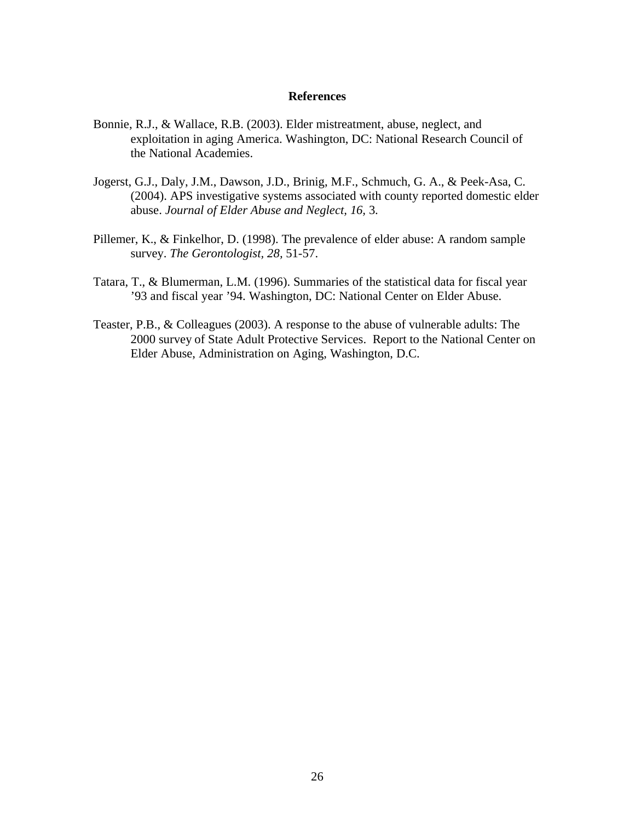#### **References**

- Bonnie, R.J., & Wallace, R.B. (2003). Elder mistreatment, abuse, neglect, and exploitation in aging America. Washington, DC: National Research Council of the National Academies.
- Jogerst, G.J., Daly, J.M., Dawson, J.D., Brinig, M.F., Schmuch, G. A., & Peek-Asa, C. (2004). APS investigative systems associated with county reported domestic elder abuse. *Journal of Elder Abuse and Neglect, 16,* 3.
- Pillemer, K., & Finkelhor, D. (1998). The prevalence of elder abuse: A random sample survey. *The Gerontologist, 28,* 51-57.
- Tatara, T., & Blumerman, L.M. (1996). Summaries of the statistical data for fiscal year '93 and fiscal year '94. Washington, DC: National Center on Elder Abuse.
- Teaster, P.B., & Colleagues (2003). A response to the abuse of vulnerable adults: The 2000 survey of State Adult Protective Services. Report to the National Center on Elder Abuse, Administration on Aging, Washington, D.C.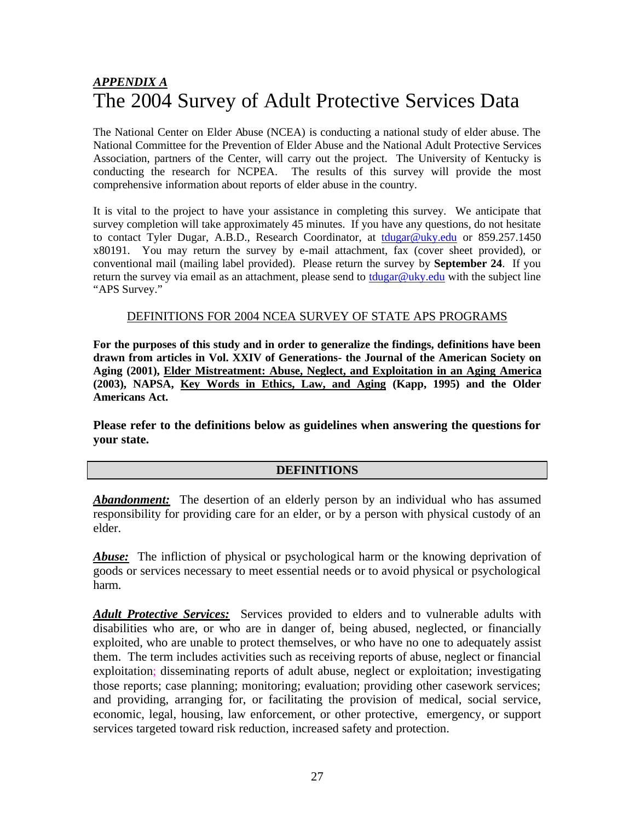# *APPENDIX A* The 2004 Survey of Adult Protective Services Data

The National Center on Elder Abuse (NCEA) is conducting a national study of elder abuse. The National Committee for the Prevention of Elder Abuse and the National Adult Protective Services Association, partners of the Center, will carry out the project. The University of Kentucky is conducting the research for NCPEA. The results of this survey will provide the most comprehensive information about reports of elder abuse in the country.

It is vital to the project to have your assistance in completing this survey. We anticipate that survey completion will take approximately 45 minutes. If you have any questions, do not hesitate to contact Tyler Dugar, A.B.D., Research Coordinator, at tdugar@uky.edu or 859.257.1450 x80191. You may return the survey by e-mail attachment, fax (cover sheet provided), or conventional mail (mailing label provided). Please return the survey by **September 24**. If you return the survey via email as an attachment, please send to  $t_{\text{dugar}}@uky$ , edu with the subject line "APS Survey."

# DEFINITIONS FOR 2004 NCEA SURVEY OF STATE APS PROGRAMS

**For the purposes of this study and in order to generalize the findings, definitions have been drawn from articles in Vol. XXIV of Generations- the Journal of the American Society on Aging (2001), Elder Mistreatment: Abuse, Neglect, and Exploitation in an Aging America (2003), NAPSA, Key Words in Ethics, Law, and Aging (Kapp, 1995) and the Older Americans Act.**

**Please refer to the definitions below as guidelines when answering the questions for your state.**

# **DEFINITIONS**

*Abandonment:* The desertion of an elderly person by an individual who has assumed responsibility for providing care for an elder, or by a person with physical custody of an elder.

**Abuse:** The infliction of physical or psychological harm or the knowing deprivation of goods or services necessary to meet essential needs or to avoid physical or psychological harm.

*Adult Protective Services:* Services provided to elders and to vulnerable adults with disabilities who are, or who are in danger of, being abused, neglected, or financially exploited, who are unable to protect themselves, or who have no one to adequately assist them. The term includes activities such as receiving reports of abuse, neglect or financial exploitation; disseminating reports of adult abuse, neglect or exploitation; investigating those reports; case planning; monitoring; evaluation; providing other casework services; and providing, arranging for, or facilitating the provision of medical, social service, economic, legal, housing, law enforcement, or other protective, emergency, or support services targeted toward risk reduction, increased safety and protection.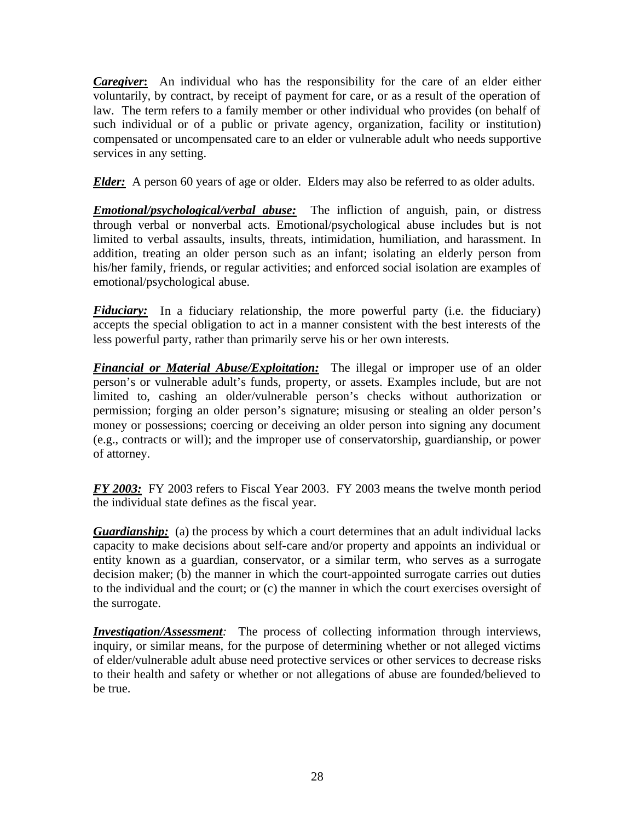*Caregiver***:** An individual who has the responsibility for the care of an elder either voluntarily, by contract, by receipt of payment for care, or as a result of the operation of law. The term refers to a family member or other individual who provides (on behalf of such individual or of a public or private agency, organization, facility or institution) compensated or uncompensated care to an elder or vulnerable adult who needs supportive services in any setting.

*Elder:* A person 60 years of age or older. Elders may also be referred to as older adults.

*Emotional/psychological/verbal abuse:* The infliction of anguish, pain, or distress through verbal or nonverbal acts. Emotional/psychological abuse includes but is not limited to verbal assaults, insults, threats, intimidation, humiliation, and harassment. In addition, treating an older person such as an infant; isolating an elderly person from his/her family, friends, or regular activities; and enforced social isolation are examples of emotional/psychological abuse.

*Fiduciary:* In a fiduciary relationship, the more powerful party (i.e. the fiduciary) accepts the special obligation to act in a manner consistent with the best interests of the less powerful party, rather than primarily serve his or her own interests.

*Financial or Material Abuse/Exploitation:* The illegal or improper use of an older person's or vulnerable adult's funds, property, or assets. Examples include, but are not limited to, cashing an older/vulnerable person's checks without authorization or permission; forging an older person's signature; misusing or stealing an older person's money or possessions; coercing or deceiving an older person into signing any document (e.g., contracts or will); and the improper use of conservatorship, guardianship, or power of attorney.

*FY 2003:* FY 2003 refers to Fiscal Year 2003. FY 2003 means the twelve month period the individual state defines as the fiscal year.

*Guardianship:* (a) the process by which a court determines that an adult individual lacks capacity to make decisions about self-care and/or property and appoints an individual or entity known as a guardian, conservator, or a similar term, who serves as a surrogate decision maker; (b) the manner in which the court-appointed surrogate carries out duties to the individual and the court; or (c) the manner in which the court exercises oversight of the surrogate.

*Investigation/Assessment:* The process of collecting information through interviews, inquiry, or similar means, for the purpose of determining whether or not alleged victims of elder/vulnerable adult abuse need protective services or other services to decrease risks to their health and safety or whether or not allegations of abuse are founded/believed to be true.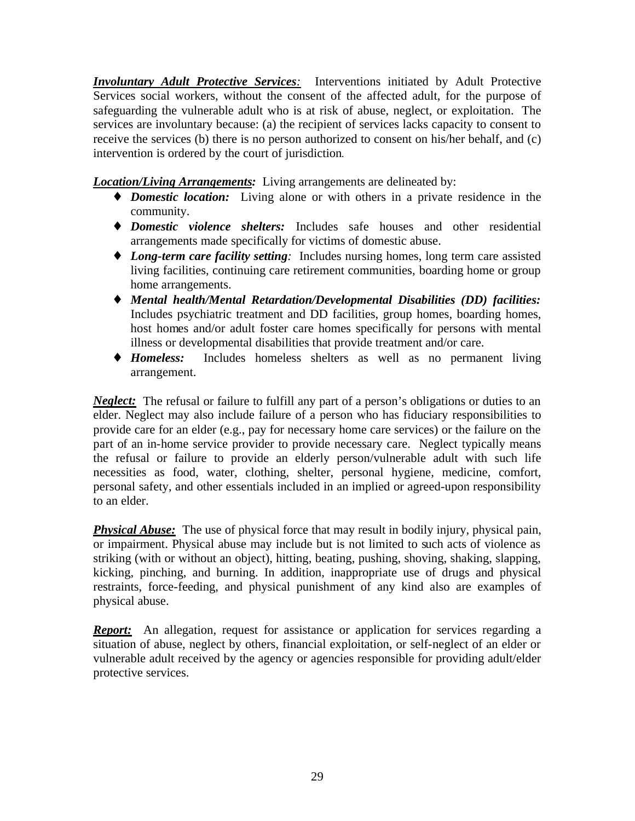*Involuntary Adult Protective Services:* Interventions initiated by Adult Protective Services social workers, without the consent of the affected adult, for the purpose of safeguarding the vulnerable adult who is at risk of abuse, neglect, or exploitation. The services are involuntary because: (a) the recipient of services lacks capacity to consent to receive the services (b) there is no person authorized to consent on his/her behalf, and (c) intervention is ordered by the court of jurisdiction.

*Location/Living Arrangements:* Living arrangements are delineated by:

- ♦ *Domestic location:* Living alone or with others in a private residence in the community.
- ♦ *Domestic violence shelters:* Includes safe houses and other residential arrangements made specifically for victims of domestic abuse.
- ♦ *Long-term care facility setting:* Includes nursing homes, long term care assisted living facilities, continuing care retirement communities, boarding home or group home arrangements.
- ♦ *Mental health/Mental Retardation/Developmental Disabilities (DD) facilities:* Includes psychiatric treatment and DD facilities, group homes, boarding homes, host homes and/or adult foster care homes specifically for persons with mental illness or developmental disabilities that provide treatment and/or care.
- ♦ *Homeless:* Includes homeless shelters as well as no permanent living arrangement.

*Neglect:* The refusal or failure to fulfill any part of a person's obligations or duties to an elder. Neglect may also include failure of a person who has fiduciary responsibilities to provide care for an elder (e.g., pay for necessary home care services) or the failure on the part of an in-home service provider to provide necessary care. Neglect typically means the refusal or failure to provide an elderly person/vulnerable adult with such life necessities as food, water, clothing, shelter, personal hygiene, medicine, comfort, personal safety, and other essentials included in an implied or agreed-upon responsibility to an elder.

**Physical Abuse:** The use of physical force that may result in bodily injury, physical pain, or impairment. Physical abuse may include but is not limited to such acts of violence as striking (with or without an object), hitting, beating, pushing, shoving, shaking, slapping, kicking, pinching, and burning. In addition, inappropriate use of drugs and physical restraints, force-feeding, and physical punishment of any kind also are examples of physical abuse.

*Report:* An allegation, request for assistance or application for services regarding a situation of abuse, neglect by others, financial exploitation, or self-neglect of an elder or vulnerable adult received by the agency or agencies responsible for providing adult/elder protective services.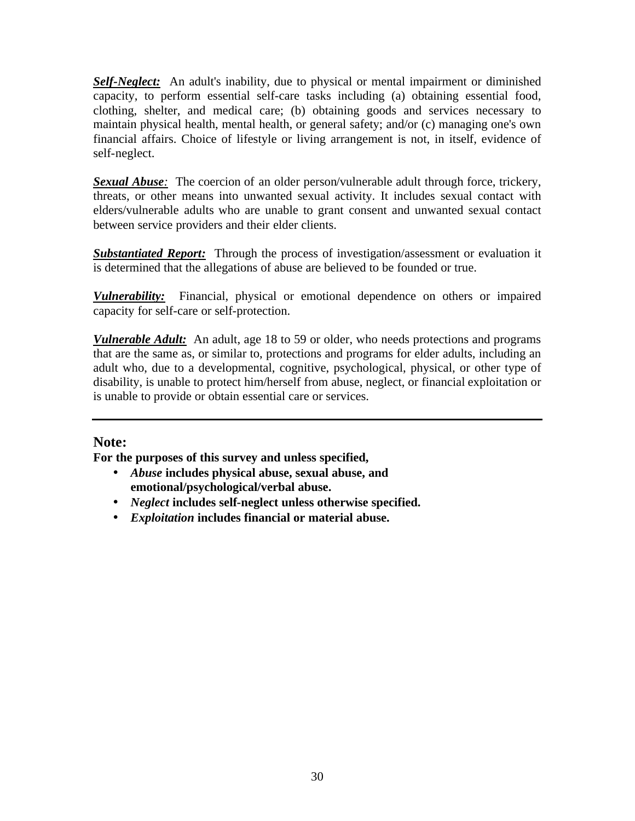*Self-Neglect:* An adult's inability, due to physical or mental impairment or diminished capacity, to perform essential self-care tasks including (a) obtaining essential food, clothing, shelter, and medical care; (b) obtaining goods and services necessary to maintain physical health, mental health, or general safety; and/or (c) managing one's own financial affairs. Choice of lifestyle or living arrangement is not, in itself, evidence of self-neglect.

**Sexual Abuse**: The coercion of an older person/vulnerable adult through force, trickery, threats, or other means into unwanted sexual activity. It includes sexual contact with elders/vulnerable adults who are unable to grant consent and unwanted sexual contact between service providers and their elder clients.

*Substantiated Report:* Through the process of investigation/assessment or evaluation it is determined that the allegations of abuse are believed to be founded or true.

*Vulnerability:*Financial, physical or emotional dependence on others or impaired capacity for self-care or self-protection.

*Vulnerable Adult:* An adult, age 18 to 59 or older, who needs protections and programs that are the same as, or similar to, protections and programs for elder adults, including an adult who, due to a developmental, cognitive, psychological, physical, or other type of disability, is unable to protect him/herself from abuse, neglect, or financial exploitation or is unable to provide or obtain essential care or services.

# **Note:**

**For the purposes of this survey and unless specified,**

- *Abuse* **includes physical abuse, sexual abuse, and emotional/psychological/verbal abuse.**
- *Neglect* **includes self-neglect unless otherwise specified.**
- *Exploitation* **includes financial or material abuse.**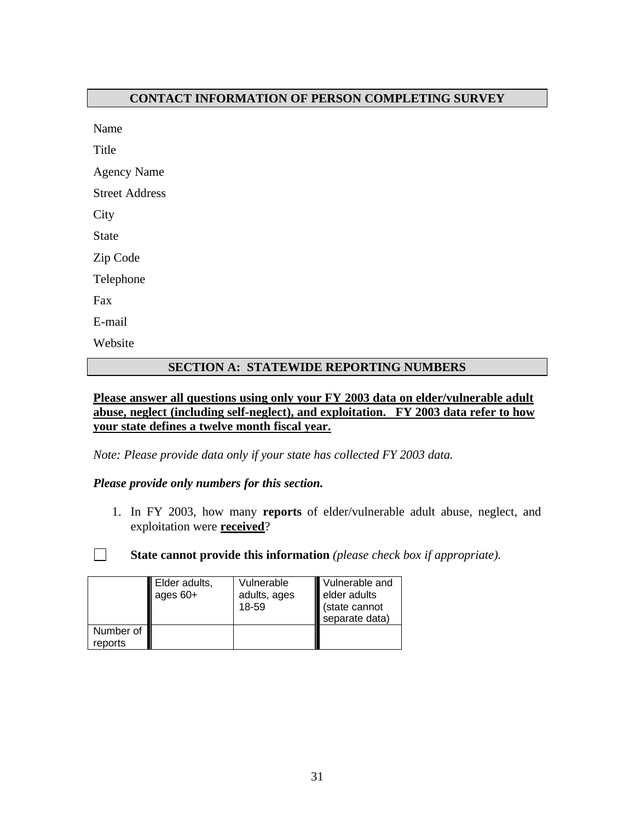# **CONTACT INFORMATION OF PERSON COMPLETING SURVEY**

Name

Title

Agency Name

Street Address

**City** 

State

Zip Code

Telephone

Fax

E-mail

Website

# **SECTION A: STATEWIDE REPORTING NUMBERS**

# **Please answer all questions using only your FY 2003 data on elder/vulnerable adult abuse, neglect (including self-neglect), and exploitation. FY 2003 data refer to how your state defines a twelve month fiscal year.**

*Note: Please provide data only if your state has collected FY 2003 data.*

*Please provide only numbers for this section.* 

- 1. In FY 2003, how many **reports** of elder/vulnerable adult abuse, neglect, and exploitation were **received**?
- $\Box$ **State cannot provide this information** *(please check box if appropriate).*

|           | Elder adults,<br>ages $60+$ | Vulnerable<br>adults, ages<br>18-59 | Vulnerable and<br>elder adults<br>(state cannot<br>separate data) |
|-----------|-----------------------------|-------------------------------------|-------------------------------------------------------------------|
| Number of |                             |                                     |                                                                   |
| reports   |                             |                                     |                                                                   |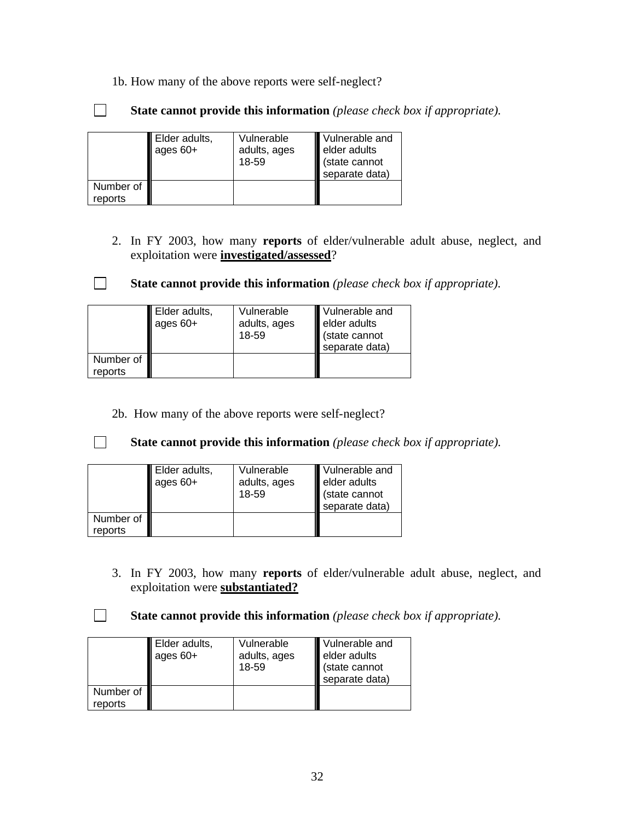1b. How many of the above reports were self-neglect?

 $\Box$ 

**State cannot provide this information** *(please check box if appropriate).*

|                      | Elder adults,<br>ages $60+$ | Vulnerable<br>adults, ages<br>18-59 | Vulnerable and<br>elder adults<br>(state cannot<br>separate data) |
|----------------------|-----------------------------|-------------------------------------|-------------------------------------------------------------------|
| Number of<br>reports |                             |                                     |                                                                   |

2. In FY 2003, how many **reports** of elder/vulnerable adult abuse, neglect, and exploitation were **investigated/assessed**?

**State cannot provide this information** *(please check box if appropriate).*

|                      | Elder adults,<br>ages $60+$ | Vulnerable<br>adults, ages<br>18-59 | Vulnerable and<br>elder adults<br>(state cannot<br>separate data) |
|----------------------|-----------------------------|-------------------------------------|-------------------------------------------------------------------|
| Number of<br>reports |                             |                                     |                                                                   |

- 2b. How many of the above reports were self-neglect?
- $\Box$

**State cannot provide this information** *(please check box if appropriate).*

|                      | Elder adults,<br>ages $60+$ | Vulnerable<br>adults, ages<br>18-59 | Vulnerable and<br>elder adults<br>(state cannot<br>separate data) |
|----------------------|-----------------------------|-------------------------------------|-------------------------------------------------------------------|
| Number of<br>reports |                             |                                     |                                                                   |

- 3. In FY 2003, how many **reports** of elder/vulnerable adult abuse, neglect, and exploitation were **substantiated?**
- $\Box$

**State cannot provide this information** *(please check box if appropriate).*

|           | Elder adults,<br>ages $60+$ | Vulnerable<br>adults, ages<br>18-59 | Vulnerable and<br>elder adults<br>(state cannot<br>separate data) |
|-----------|-----------------------------|-------------------------------------|-------------------------------------------------------------------|
| Number of |                             |                                     |                                                                   |
| reports   |                             |                                     |                                                                   |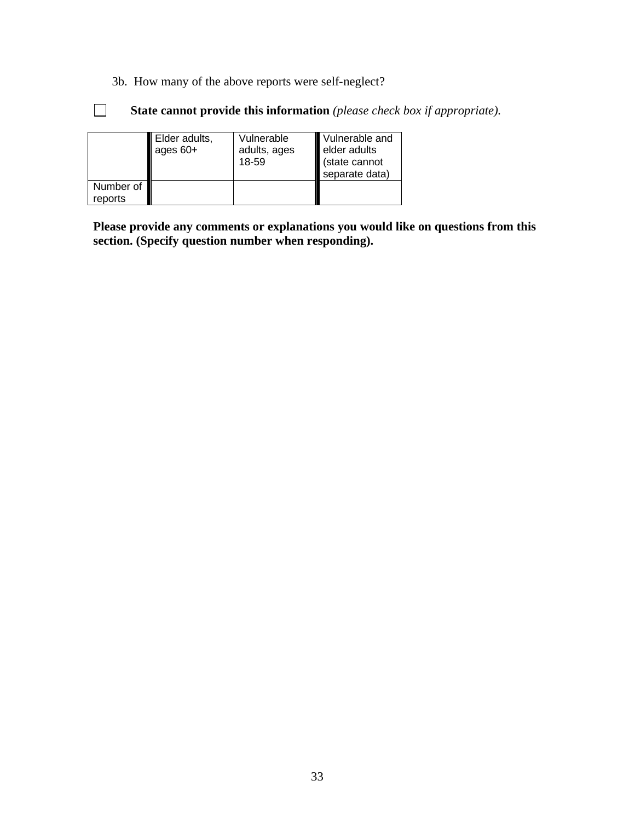# 3b. How many of the above reports were self-neglect?

 $\Box$ 

**State cannot provide this information** *(please check box if appropriate).*

|           | Elder adults,<br>ages $60+$ | Vulnerable<br>adults, ages<br>18-59 | Vulnerable and<br>elder adults<br>(state cannot<br>separate data) |
|-----------|-----------------------------|-------------------------------------|-------------------------------------------------------------------|
| Number of |                             |                                     |                                                                   |
| reports   |                             |                                     |                                                                   |

**Please provide any comments or explanations you would like on questions from this section. (Specify question number when responding).**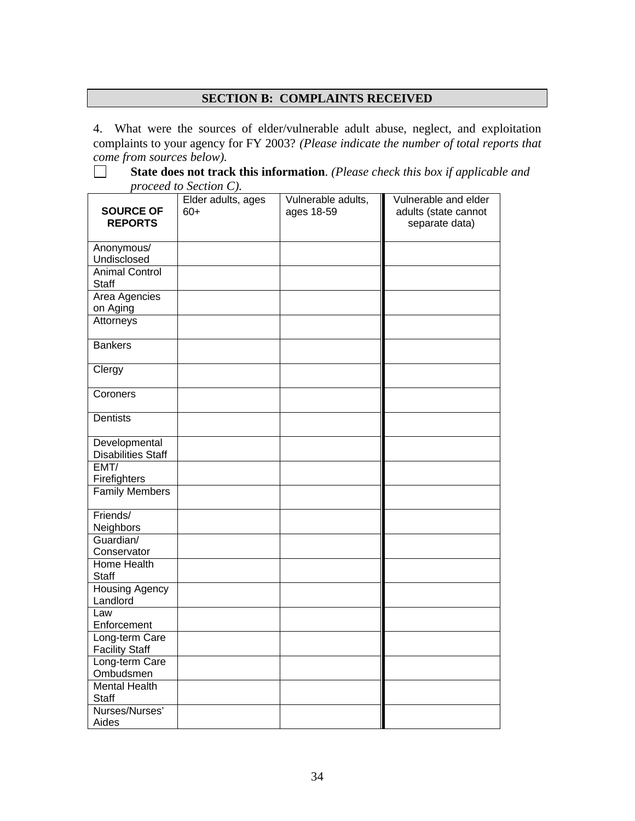# **SECTION B: COMPLAINTS RECEIVED**

4. What were the sources of elder/vulnerable adult abuse, neglect, and exploitation complaints to your agency for FY 2003? *(Please indicate the number of total reports that come from sources below).*

 $\Box$ 

**State does not track this information**. *(Please check this box if applicable and proceed to Section C).* 

|                                   | Elder adults, ages | Vulnerable adults, | Vulnerable and elder |
|-----------------------------------|--------------------|--------------------|----------------------|
| <b>SOURCE OF</b>                  | $60+$              | ages 18-59         | adults (state cannot |
| <b>REPORTS</b>                    |                    |                    | separate data)       |
|                                   |                    |                    |                      |
| Anonymous/                        |                    |                    |                      |
| Undisclosed                       |                    |                    |                      |
| <b>Animal Control</b>             |                    |                    |                      |
| <b>Staff</b>                      |                    |                    |                      |
| Area Agencies                     |                    |                    |                      |
| on Aging                          |                    |                    |                      |
| Attorneys                         |                    |                    |                      |
|                                   |                    |                    |                      |
| <b>Bankers</b>                    |                    |                    |                      |
|                                   |                    |                    |                      |
| Clergy                            |                    |                    |                      |
| Coroners                          |                    |                    |                      |
|                                   |                    |                    |                      |
| Dentists                          |                    |                    |                      |
|                                   |                    |                    |                      |
| Developmental                     |                    |                    |                      |
| <b>Disabilities Staff</b>         |                    |                    |                      |
| EMT/                              |                    |                    |                      |
| Firefighters                      |                    |                    |                      |
| <b>Family Members</b>             |                    |                    |                      |
|                                   |                    |                    |                      |
| Friends/                          |                    |                    |                      |
| Neighbors                         |                    |                    |                      |
| Guardian/                         |                    |                    |                      |
| Conservator<br><b>Home Health</b> |                    |                    |                      |
| <b>Staff</b>                      |                    |                    |                      |
| <b>Housing Agency</b>             |                    |                    |                      |
| Landlord                          |                    |                    |                      |
| Law                               |                    |                    |                      |
| Enforcement                       |                    |                    |                      |
| Long-term Care                    |                    |                    |                      |
| <b>Facility Staff</b>             |                    |                    |                      |
| Long-term Care                    |                    |                    |                      |
| Ombudsmen                         |                    |                    |                      |
| <b>Mental Health</b>              |                    |                    |                      |
| <b>Staff</b>                      |                    |                    |                      |
| Nurses/Nurses'                    |                    |                    |                      |
| Aides                             |                    |                    |                      |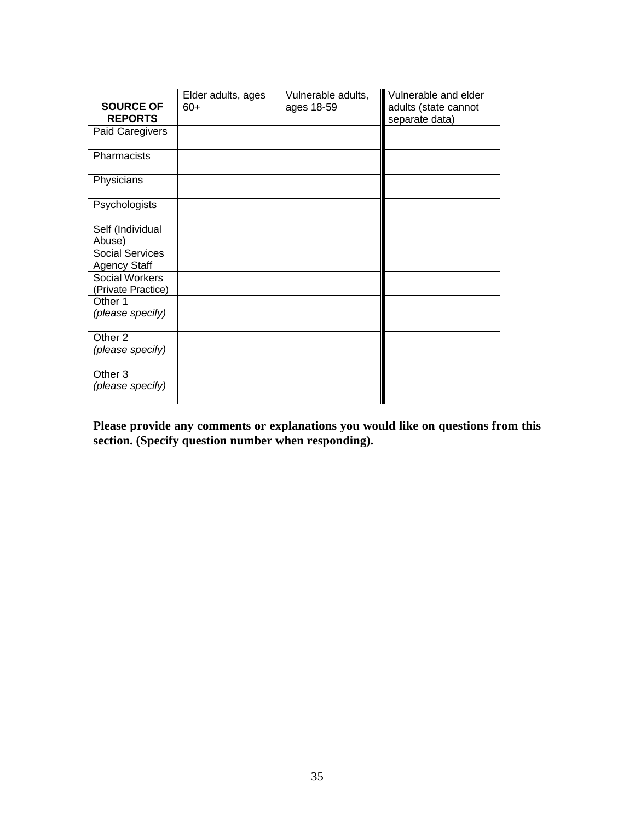|                                               | Elder adults, ages | Vulnerable adults, | Vulnerable and elder                   |
|-----------------------------------------------|--------------------|--------------------|----------------------------------------|
| <b>SOURCE OF</b><br><b>REPORTS</b>            | $60+$              | ages 18-59         | adults (state cannot<br>separate data) |
| Paid Caregivers                               |                    |                    |                                        |
| Pharmacists                                   |                    |                    |                                        |
| Physicians                                    |                    |                    |                                        |
| Psychologists                                 |                    |                    |                                        |
| Self (Individual<br>Abuse)                    |                    |                    |                                        |
| <b>Social Services</b><br><b>Agency Staff</b> |                    |                    |                                        |
| <b>Social Workers</b><br>(Private Practice)   |                    |                    |                                        |
| Other 1<br>(please specify)                   |                    |                    |                                        |
| Other 2<br>(please specify)                   |                    |                    |                                        |
| Other <sub>3</sub><br>(please specify)        |                    |                    |                                        |

**Please provide any comments or explanations you would like on questions from this section. (Specify question number when responding).**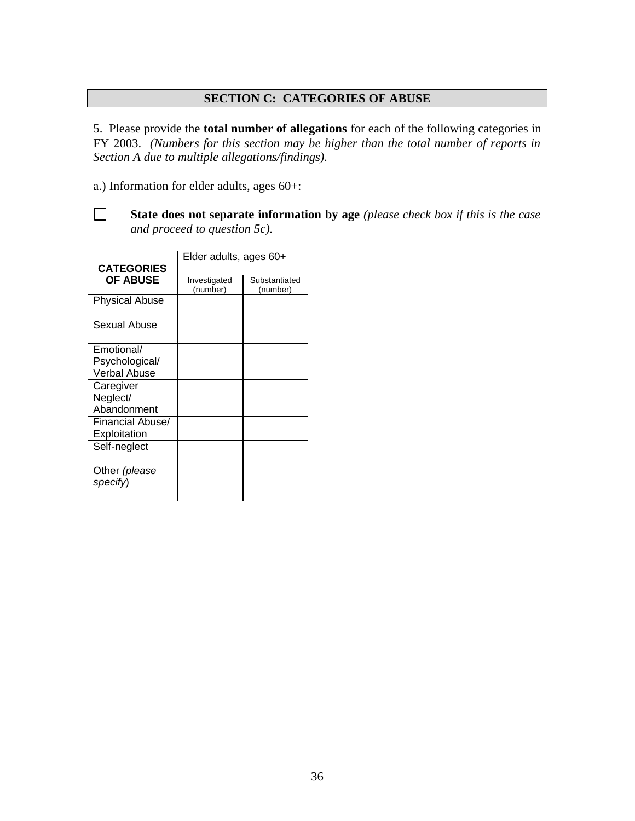# **SECTION C: CATEGORIES OF ABUSE**

5. Please provide the **total number of allegations** for each of the following categories in FY 2003. *(Numbers for this section may be higher than the total number of reports in Section A due to multiple allegations/findings).*

a.) Information for elder adults, ages 60+:

 $\Box$ 

**State does not separate information by age** *(please check box if this is the case and proceed to question 5c).*

| <b>CATEGORIES</b>     | Elder adults, ages 60+   |                           |  |
|-----------------------|--------------------------|---------------------------|--|
| <b>OF ABUSE</b>       | Investigated<br>(number) | Substantiated<br>(number) |  |
| <b>Physical Abuse</b> |                          |                           |  |
| Sexual Abuse          |                          |                           |  |
| Emotional/            |                          |                           |  |
| Psychological/        |                          |                           |  |
| <b>Verbal Abuse</b>   |                          |                           |  |
| Caregiver             |                          |                           |  |
| Neglect/              |                          |                           |  |
| Abandonment           |                          |                           |  |
| Financial Abuse/      |                          |                           |  |
| Exploitation          |                          |                           |  |
| Self-neglect          |                          |                           |  |
| Other (please         |                          |                           |  |
| specify)              |                          |                           |  |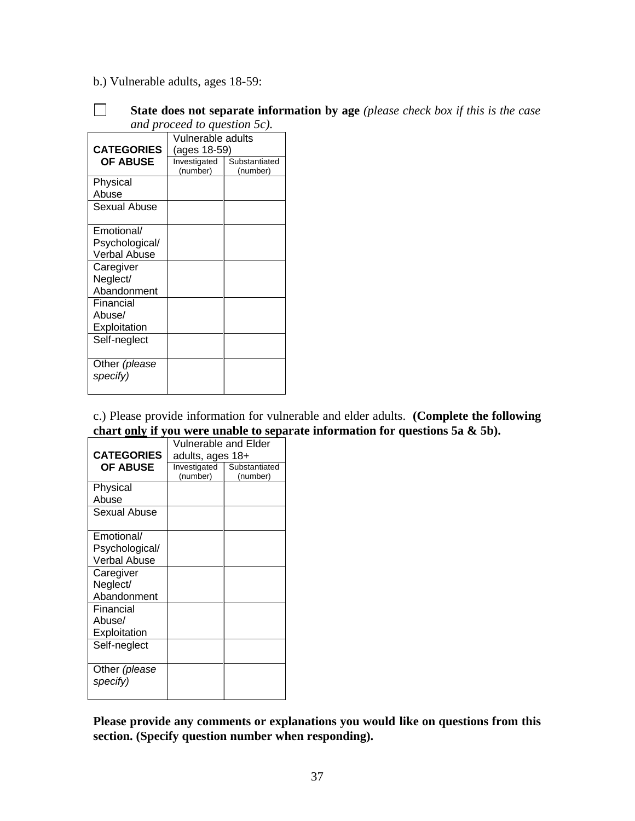b.) Vulnerable adults, ages 18-59:

#### $\Box$ **State does not separate information by age** *(please check box if this is the case and proceed to question 5c).*

| ana proceeu io question se <i>f</i> . |                   |               |  |
|---------------------------------------|-------------------|---------------|--|
|                                       | Vulnerable adults |               |  |
| <b>CATEGORIES</b><br><b>OF ABUSE</b>  | (ages 18-59)      |               |  |
|                                       | Investigated      | Substantiated |  |
|                                       | (number)          | (number)      |  |
| Physical                              |                   |               |  |
| Abuse                                 |                   |               |  |
| Sexual Abuse                          |                   |               |  |
|                                       |                   |               |  |
| Emotional/                            |                   |               |  |
| Psychological/                        |                   |               |  |
| <b>Verbal Abuse</b>                   |                   |               |  |
| Caregiver                             |                   |               |  |
| Neglect/                              |                   |               |  |
| Abandonment                           |                   |               |  |
| Financial                             |                   |               |  |
| Abuse/                                |                   |               |  |
| Exploitation                          |                   |               |  |
| Self-neglect                          |                   |               |  |
|                                       |                   |               |  |
| Other (please                         |                   |               |  |
| specify)                              |                   |               |  |
|                                       |                   |               |  |

c.) Please provide information for vulnerable and elder adults. **(Complete the following chart only if you were unable to separate information for questions 5a & 5b).** 

|                     | Vulnerable and Elder |               |  |
|---------------------|----------------------|---------------|--|
| <b>CATEGORIES</b>   | adults, ages 18+     |               |  |
| <b>OF ABUSE</b>     | Investigated         | Substantiated |  |
|                     | (number)             | (number)      |  |
| Physical            |                      |               |  |
| Abuse               |                      |               |  |
| <b>Sexual Abuse</b> |                      |               |  |
|                     |                      |               |  |
| Emotional/          |                      |               |  |
| Psychological/      |                      |               |  |
| Verbal Abuse        |                      |               |  |
| Caregiver           |                      |               |  |
| Neglect/            |                      |               |  |
| Abandonment         |                      |               |  |
| Financial           |                      |               |  |
| Abuse/              |                      |               |  |
| Exploitation        |                      |               |  |
| Self-neglect        |                      |               |  |
|                     |                      |               |  |
| Other (please       |                      |               |  |
| specify)            |                      |               |  |
|                     |                      |               |  |

**Please provide any comments or explanations you would like on questions from this section. (Specify question number when responding).**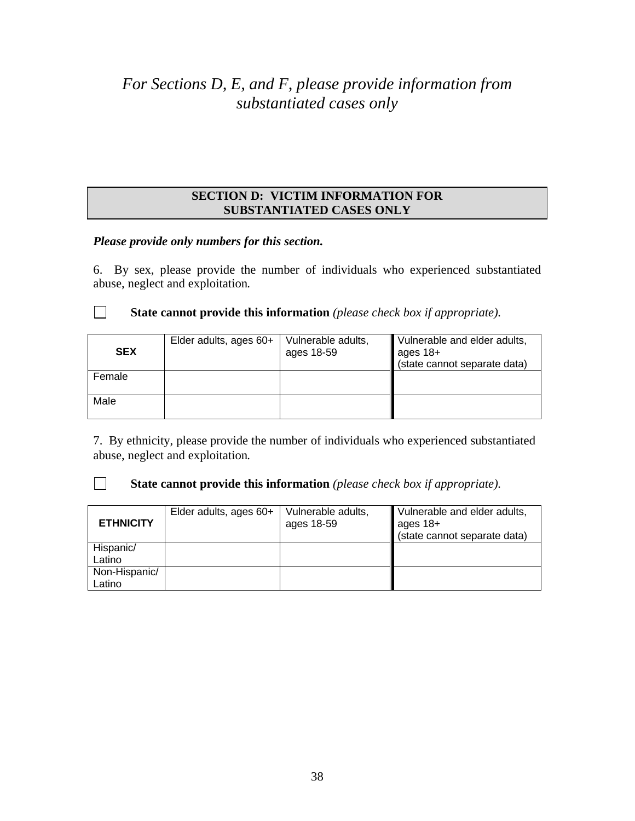# *For Sections D, E, and F, please provide information from substantiated cases only*

# **SECTION D: VICTIM INFORMATION FOR SUBSTANTIATED CASES ONLY**

*Please provide only numbers for this section.* 

6. By sex, please provide the number of individuals who experienced substantiated abuse, neglect and exploitation.

![](_page_37_Picture_4.jpeg)

**State cannot provide this information** *(please check box if appropriate).*

| <b>SEX</b> | Elder adults, ages 60+ | Vulnerable adults,<br>ages 18-59 | Vulnerable and elder adults,<br>ages $18+$<br>(state cannot separate data) |
|------------|------------------------|----------------------------------|----------------------------------------------------------------------------|
| Female     |                        |                                  |                                                                            |
| Male       |                        |                                  |                                                                            |

7. By ethnicity, please provide the number of individuals who experienced substantiated abuse, neglect and exploitation.

# $\Box$

**State cannot provide this information** *(please check box if appropriate).*

| <b>ETHNICITY</b> | Elder adults, ages 60+ | Vulnerable adults,<br>ages 18-59 | Vulnerable and elder adults,<br>ages $18+$<br>(state cannot separate data) |
|------------------|------------------------|----------------------------------|----------------------------------------------------------------------------|
| Hispanic/        |                        |                                  |                                                                            |
| Latino           |                        |                                  |                                                                            |
| Non-Hispanic/    |                        |                                  |                                                                            |
| Latino           |                        |                                  |                                                                            |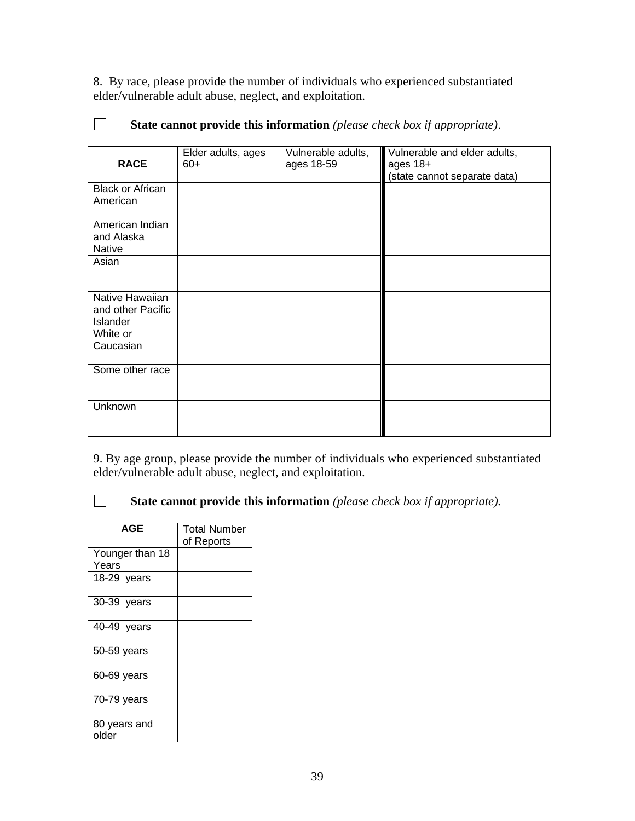8. By race, please provide the number of individuals who experienced substantiated elder/vulnerable adult abuse, neglect, and exploitation.

| <b>RACE</b><br><b>Black or African</b><br>American | Elder adults, ages<br>$60+$ | Vulnerable adults,<br>ages 18-59 | Vulnerable and elder adults,<br>ages 18+<br>(state cannot separate data) |
|----------------------------------------------------|-----------------------------|----------------------------------|--------------------------------------------------------------------------|
| American Indian<br>and Alaska<br>Native            |                             |                                  |                                                                          |
| Asian                                              |                             |                                  |                                                                          |
| Native Hawaiian<br>and other Pacific<br>Islander   |                             |                                  |                                                                          |
| White or<br>Caucasian                              |                             |                                  |                                                                          |
| Some other race                                    |                             |                                  |                                                                          |
| Unknown                                            |                             |                                  |                                                                          |

#### **State cannot provide this information** *(please check box if appropriate)*.  $\Box$

9. By age group, please provide the number of individuals who experienced substantiated elder/vulnerable adult abuse, neglect, and exploitation.

# **State cannot provide this information** *(please check box if appropriate).*

| <b>AGE</b>               | <b>Total Number</b><br>of Reports |
|--------------------------|-----------------------------------|
| Younger than 18<br>Years |                                   |
| 18-29 years              |                                   |
| 30-39 years              |                                   |
| 40-49 years              |                                   |
| 50-59 years              |                                   |
| 60-69 years              |                                   |
| 70-79 years              |                                   |
| 80 years and<br>older    |                                   |

 $\Box$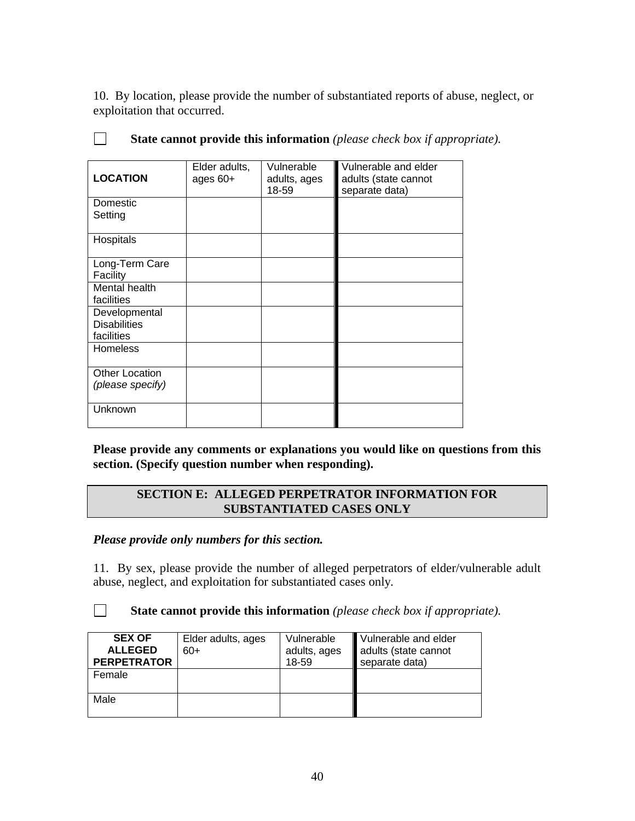10. By location, please provide the number of substantiated reports of abuse, neglect, or exploitation that occurred.

| <b>LOCATION</b><br>Domestic                        | Elder adults,<br>ages $60+$ | Vulnerable<br>adults, ages<br>18-59 | Vulnerable and elder<br>adults (state cannot<br>separate data) |
|----------------------------------------------------|-----------------------------|-------------------------------------|----------------------------------------------------------------|
| Setting<br>Hospitals                               |                             |                                     |                                                                |
| Long-Term Care<br>Facility                         |                             |                                     |                                                                |
| Mental health<br>facilities                        |                             |                                     |                                                                |
| Developmental<br><b>Disabilities</b><br>facilities |                             |                                     |                                                                |
| <b>Homeless</b>                                    |                             |                                     |                                                                |
| <b>Other Location</b><br>(please specify)          |                             |                                     |                                                                |
| Unknown                                            |                             |                                     |                                                                |

#### $\Box$ **State cannot provide this information** *(please check box if appropriate).*

**Please provide any comments or explanations you would like on questions from this section. (Specify question number when responding).** 

# **SECTION E: ALLEGED PERPETRATOR INFORMATION FOR SUBSTANTIATED CASES ONLY**

# *Please provide only numbers for this section.*

11. By sex, please provide the number of alleged perpetrators of elder/vulnerable adult abuse, neglect, and exploitation for substantiated cases only.

 $\Box$ 

**State cannot provide this information** *(please check box if appropriate).*

| <b>SEX OF</b><br><b>ALLEGED</b><br><b>PERPETRATOR</b> | Elder adults, ages<br>60+ | Vulnerable<br>adults, ages<br>18-59 | Vulnerable and elder<br>adults (state cannot<br>separate data) |
|-------------------------------------------------------|---------------------------|-------------------------------------|----------------------------------------------------------------|
| Female                                                |                           |                                     |                                                                |
| Male                                                  |                           |                                     |                                                                |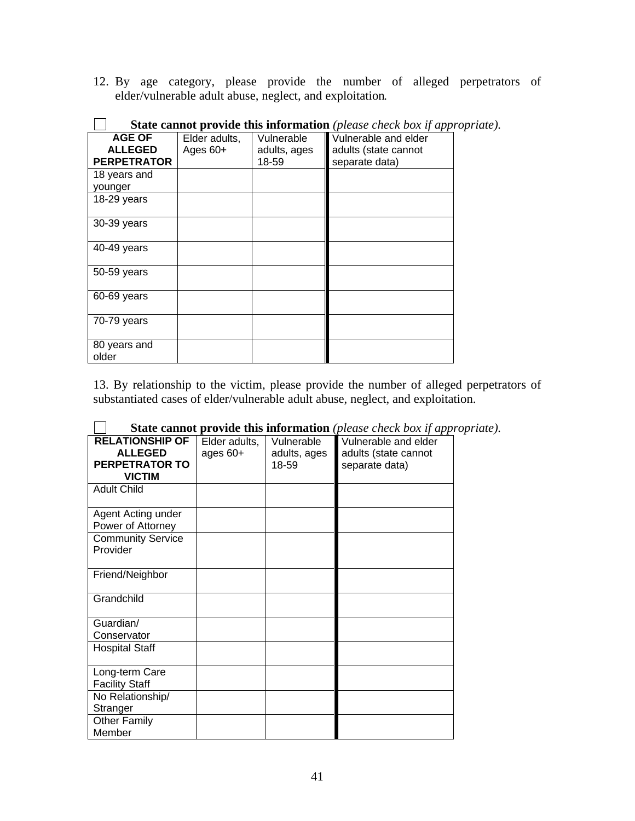12. By age category, please provide the number of alleged perpetrators of elder/vulnerable adult abuse, neglect, and exploitation.

| State cannot provide this information <i>(please check box if app)</i> |               |              |                      |  |  |
|------------------------------------------------------------------------|---------------|--------------|----------------------|--|--|
| <b>AGE OF</b>                                                          | Elder adults, | Vulnerable   | Vulnerable and elder |  |  |
| <b>ALLEGED</b>                                                         | Ages $60+$    | adults, ages | adults (state cannot |  |  |
| <b>PERPETRATOR</b>                                                     |               | 18-59        | separate data)       |  |  |
| 18 years and                                                           |               |              |                      |  |  |
| younger                                                                |               |              |                      |  |  |
| 18-29 years                                                            |               |              |                      |  |  |
| 30-39 years                                                            |               |              |                      |  |  |
| 40-49 years                                                            |               |              |                      |  |  |
| 50-59 years                                                            |               |              |                      |  |  |
| 60-69 years                                                            |               |              |                      |  |  |
| 70-79 years                                                            |               |              |                      |  |  |
| 80 years and<br>older                                                  |               |              |                      |  |  |

**State cannot provide this information** *(please check box if appropriate).*  $\Box$ 

13. By relationship to the victim, please provide the number of alleged perpetrators of substantiated cases of elder/vulnerable adult abuse, neglect, and exploitation.

| <b>RELATIONSHIP OF</b><br>Elder adults,<br>Vulnerable and elder<br>Vulnerable<br><b>ALLEGED</b><br>ages $60+$<br>adults, ages<br>adults (state cannot<br><b>PERPETRATOR TO</b><br>18-59<br>separate data)<br><b>VICTIM</b><br><b>Adult Child</b><br>Agent Acting under<br>Power of Attorney<br><b>Community Service</b><br>Provider<br>Friend/Neighbor<br>Grandchild<br>Guardian/<br>Conservator<br><b>Hospital Staff</b><br>Long-term Care<br><b>Facility Staff</b> |                  |  | $\beta$ and $\alpha$ provide this information (piecese energy of appli- |
|----------------------------------------------------------------------------------------------------------------------------------------------------------------------------------------------------------------------------------------------------------------------------------------------------------------------------------------------------------------------------------------------------------------------------------------------------------------------|------------------|--|-------------------------------------------------------------------------|
|                                                                                                                                                                                                                                                                                                                                                                                                                                                                      |                  |  |                                                                         |
|                                                                                                                                                                                                                                                                                                                                                                                                                                                                      |                  |  |                                                                         |
|                                                                                                                                                                                                                                                                                                                                                                                                                                                                      |                  |  |                                                                         |
|                                                                                                                                                                                                                                                                                                                                                                                                                                                                      |                  |  |                                                                         |
|                                                                                                                                                                                                                                                                                                                                                                                                                                                                      |                  |  |                                                                         |
|                                                                                                                                                                                                                                                                                                                                                                                                                                                                      |                  |  |                                                                         |
|                                                                                                                                                                                                                                                                                                                                                                                                                                                                      |                  |  |                                                                         |
|                                                                                                                                                                                                                                                                                                                                                                                                                                                                      |                  |  |                                                                         |
|                                                                                                                                                                                                                                                                                                                                                                                                                                                                      |                  |  |                                                                         |
|                                                                                                                                                                                                                                                                                                                                                                                                                                                                      |                  |  |                                                                         |
|                                                                                                                                                                                                                                                                                                                                                                                                                                                                      |                  |  |                                                                         |
|                                                                                                                                                                                                                                                                                                                                                                                                                                                                      |                  |  |                                                                         |
|                                                                                                                                                                                                                                                                                                                                                                                                                                                                      |                  |  |                                                                         |
|                                                                                                                                                                                                                                                                                                                                                                                                                                                                      |                  |  |                                                                         |
|                                                                                                                                                                                                                                                                                                                                                                                                                                                                      |                  |  |                                                                         |
|                                                                                                                                                                                                                                                                                                                                                                                                                                                                      |                  |  |                                                                         |
|                                                                                                                                                                                                                                                                                                                                                                                                                                                                      |                  |  |                                                                         |
|                                                                                                                                                                                                                                                                                                                                                                                                                                                                      |                  |  |                                                                         |
|                                                                                                                                                                                                                                                                                                                                                                                                                                                                      |                  |  |                                                                         |
|                                                                                                                                                                                                                                                                                                                                                                                                                                                                      |                  |  |                                                                         |
|                                                                                                                                                                                                                                                                                                                                                                                                                                                                      | No Relationship/ |  |                                                                         |
| Stranger                                                                                                                                                                                                                                                                                                                                                                                                                                                             |                  |  |                                                                         |
| <b>Other Family</b>                                                                                                                                                                                                                                                                                                                                                                                                                                                  |                  |  |                                                                         |
| Member                                                                                                                                                                                                                                                                                                                                                                                                                                                               |                  |  |                                                                         |

#### $\Box$ **State cannot provide this information** *(please check box if appropriate).*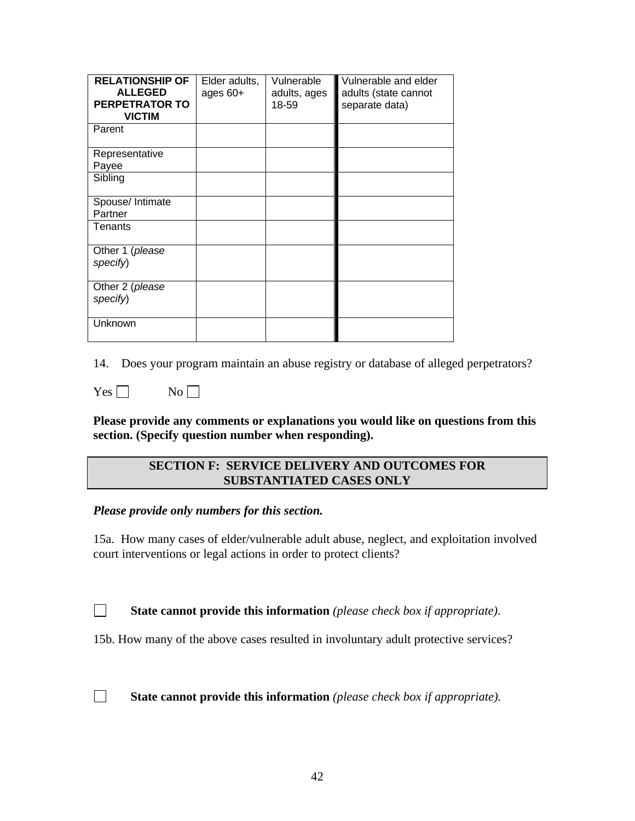| <b>RELATIONSHIP OF</b><br><b>ALLEGED</b><br><b>PERPETRATOR TO</b><br><b>VICTIM</b> | Elder adults,<br>ages 60+ | Vulnerable<br>adults, ages<br>18-59 | Vulnerable and elder<br>adults (state cannot<br>separate data) |
|------------------------------------------------------------------------------------|---------------------------|-------------------------------------|----------------------------------------------------------------|
| Parent                                                                             |                           |                                     |                                                                |
| Representative<br>Payee                                                            |                           |                                     |                                                                |
| Sibling                                                                            |                           |                                     |                                                                |
| Spouse/ Intimate<br>Partner                                                        |                           |                                     |                                                                |
| <b>Tenants</b>                                                                     |                           |                                     |                                                                |
| Other 1 (please<br>specify)                                                        |                           |                                     |                                                                |
| Other 2 (please<br>specify)                                                        |                           |                                     |                                                                |
| Unknown                                                                            |                           |                                     |                                                                |

14. Does your program maintain an abuse registry or database of alleged perpetrators?

| es | Nο |
|----|----|
|    |    |

**Please provide any comments or explanations you would like on questions from this section. (Specify question number when responding).** 

# **SECTION F: SERVICE DELIVERY AND OUTCOMES FOR SUBSTANTIATED CASES ONLY**

*Please provide only numbers for this section.*

15a. How many cases of elder/vulnerable adult abuse, neglect, and exploitation involved court interventions or legal actions in order to protect clients?

**State cannot provide this information** *(please check box if appropriate).*

15b. How many of the above cases resulted in involuntary adult protective services?

![](_page_41_Picture_10.jpeg)

**State cannot provide this information** *(please check box if appropriate).*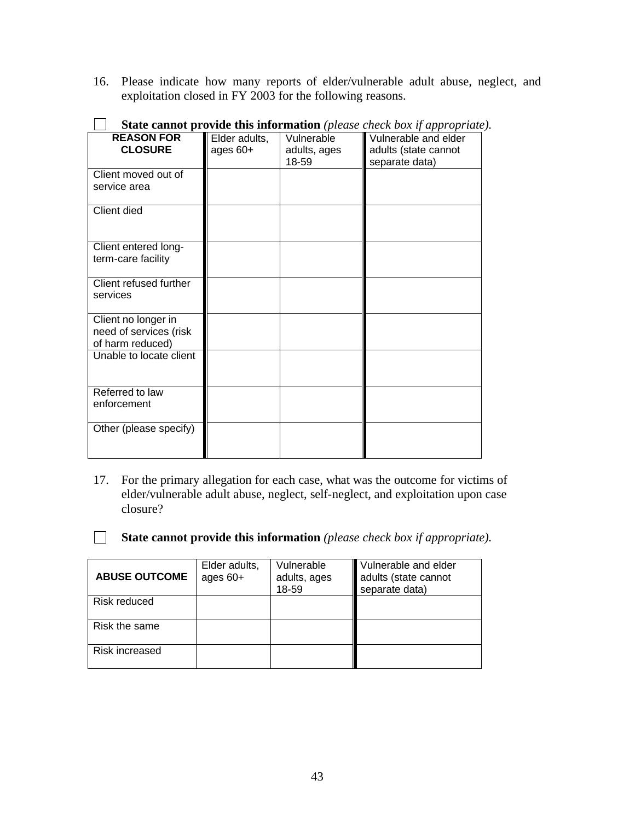16. Please indicate how many reports of elder/vulnerable adult abuse, neglect, and exploitation closed in FY 2003 for the following reasons.

| <b>REASON FOR</b><br><b>CLOSURE</b>                               | Elder adults,<br>ages $60+$ | Vulnerable<br>adults, ages<br>18-59 | Vulnerable and elder<br>adults (state cannot<br>separate data) |
|-------------------------------------------------------------------|-----------------------------|-------------------------------------|----------------------------------------------------------------|
| Client moved out of<br>service area                               |                             |                                     |                                                                |
| Client died                                                       |                             |                                     |                                                                |
| Client entered long-<br>term-care facility                        |                             |                                     |                                                                |
| Client refused further<br>services                                |                             |                                     |                                                                |
| Client no longer in<br>need of services (risk<br>of harm reduced) |                             |                                     |                                                                |
| Unable to locate client                                           |                             |                                     |                                                                |
| Referred to law<br>enforcement                                    |                             |                                     |                                                                |
| Other (please specify)                                            |                             |                                     |                                                                |

**State cannot provide this information** *(please check box if appropriate).*  $\Box$ 

- 17. For the primary allegation for each case, what was the outcome for victims of elder/vulnerable adult abuse, neglect, self-neglect, and exploitation upon case closure?
- **State cannot provide this information** *(please check box if appropriate).*  $\Box$

| <b>ABUSE OUTCOME</b> | Elder adults,<br>ages $60+$ | Vulnerable<br>adults, ages<br>18-59 | Vulnerable and elder<br>adults (state cannot<br>separate data) |
|----------------------|-----------------------------|-------------------------------------|----------------------------------------------------------------|
| Risk reduced         |                             |                                     |                                                                |
| Risk the same        |                             |                                     |                                                                |
| Risk increased       |                             |                                     |                                                                |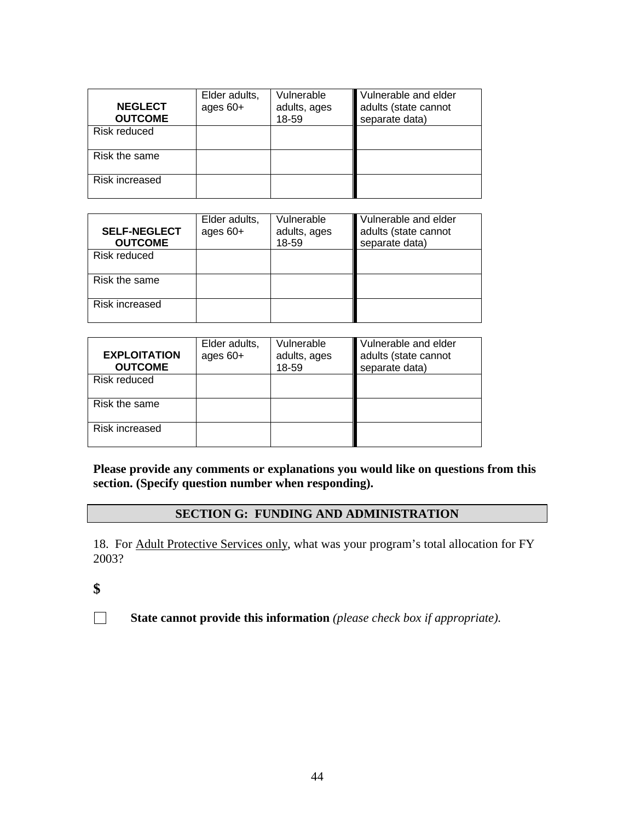| <b>NEGLECT</b><br><b>OUTCOME</b> | Elder adults,<br>ages $60+$ | Vulnerable<br>adults, ages<br>18-59 | Vulnerable and elder<br>adults (state cannot<br>separate data) |
|----------------------------------|-----------------------------|-------------------------------------|----------------------------------------------------------------|
| Risk reduced                     |                             |                                     |                                                                |
| Risk the same                    |                             |                                     |                                                                |
| Risk increased                   |                             |                                     |                                                                |

| <b>SELF-NEGLECT</b><br><b>OUTCOME</b> | Elder adults,<br>ages $60+$ | Vulnerable<br>adults, ages<br>18-59 | Vulnerable and elder<br>adults (state cannot<br>separate data) |
|---------------------------------------|-----------------------------|-------------------------------------|----------------------------------------------------------------|
| Risk reduced                          |                             |                                     |                                                                |
| Risk the same                         |                             |                                     |                                                                |
| Risk increased                        |                             |                                     |                                                                |

| <b>EXPLOITATION</b><br><b>OUTCOME</b> | Elder adults,<br>ages $60+$ | Vulnerable<br>adults, ages<br>18-59 | Vulnerable and elder<br>adults (state cannot<br>separate data) |
|---------------------------------------|-----------------------------|-------------------------------------|----------------------------------------------------------------|
| Risk reduced                          |                             |                                     |                                                                |
| Risk the same                         |                             |                                     |                                                                |
| Risk increased                        |                             |                                     |                                                                |

**Please provide any comments or explanations you would like on questions from this section. (Specify question number when responding).** 

# **SECTION G: FUNDING AND ADMINISTRATION**

18. For Adult Protective Services only, what was your program's total allocation for FY 2003?

**\$**

 $\Box$ **State cannot provide this information** *(please check box if appropriate).*